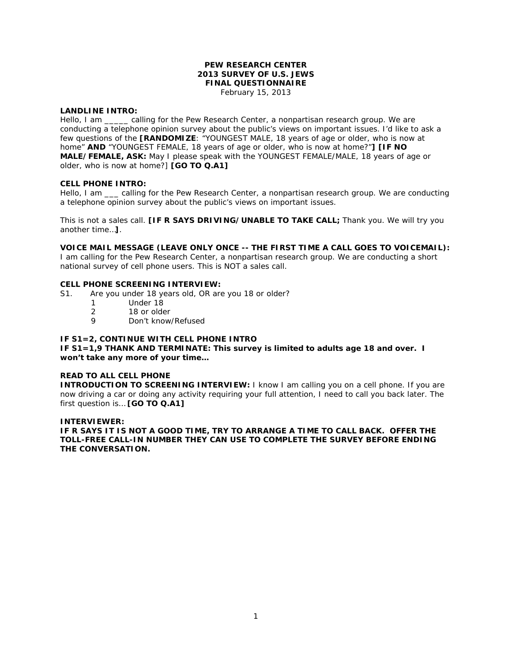## **PEW RESEARCH CENTER 2013 SURVEY OF U.S. JEWS FINAL QUESTIONNAIRE**

February 15, 2013

#### **LANDLINE INTRO:**

Hello, I am \_\_\_\_\_ calling for the Pew Research Center, a nonpartisan research group. We are conducting a telephone opinion survey about the public's views on important issues. I'd like to ask a few questions of the **[RANDOMIZE**: "YOUNGEST MALE, 18 years of age or older, who is now at home" **AND** "YOUNGEST FEMALE, 18 years of age or older, who is now at home?"**] [IF NO MALE/FEMALE, ASK:** May I please speak with the YOUNGEST FEMALE/MALE, 18 years of age or older, who is now at home?] **[GO TO Q.A1]**

#### **CELL PHONE INTRO:**

Hello, I am \_\_\_ calling for the Pew Research Center, a nonpartisan research group. We are conducting a telephone opinion survey about the public's views on important issues.

This is not a sales call. **[IF R SAYS DRIVING/UNABLE TO TAKE CALL;** Thank you. We will try you another time…**]**.

**VOICE MAIL MESSAGE (LEAVE ONLY ONCE -- THE FIRST TIME A CALL GOES TO VOICEMAIL):**  I am calling for the Pew Research Center, a nonpartisan research group. We are conducting a short national survey of cell phone users. This is NOT a sales call.

#### **CELL PHONE SCREENING INTERVIEW:**

- S1. Are you under 18 years old, OR are you 18 or older?
	- 1 Under 18<br>2 18 or olde
	- 2 18 or older<br>9 Don't know
	- Don't know/Refused

## **IF S1=2, CONTINUE WITH CELL PHONE INTRO**

**IF S1=1,9 THANK AND TERMINATE: This survey is limited to adults age 18 and over. I won't take any more of your time…**

#### **READ TO ALL CELL PHONE**

**INTRODUCTION TO SCREENING INTERVIEW:** I know I am calling you on a cell phone. If you are now driving a car or doing any activity requiring your full attention, I need to call you back later. The first question is… **[GO TO Q.A1]**

#### **INTERVIEWER:**

**IF R SAYS IT IS NOT A GOOD TIME, TRY TO ARRANGE A TIME TO CALL BACK. OFFER THE TOLL-FREE CALL-IN NUMBER THEY CAN USE TO COMPLETE THE SURVEY BEFORE ENDING THE CONVERSATION.**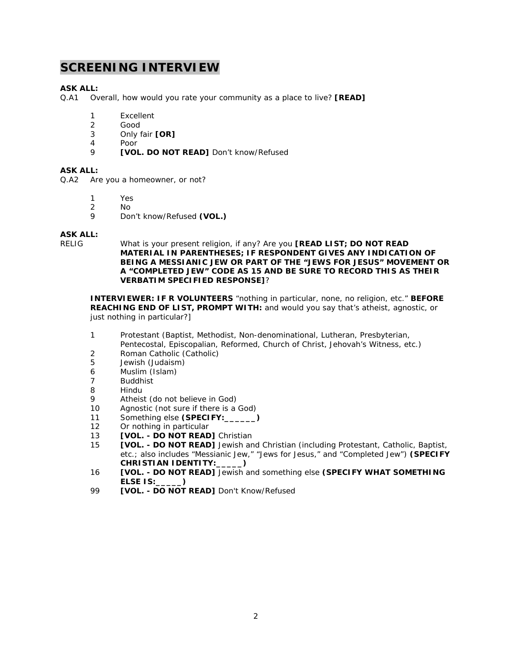## **SCREENING INTERVIEW**

## **ASK ALL:**

Q.A1 Overall, how would you rate your community as a place to live? **[READ]** 

- 1 Excellent
- 2 Good
- 3 Only fair **[OR]**
- 4 Poor
- 9 **[VOL. DO NOT READ]** Don't know/Refused

## **ASK ALL:**

Q.A2 Are you a homeowner, or not?

- 
- 1 Yes<br>2 No No.
- 9 Don't know/Refused **(VOL.)**

# **ASK ALL:**

What is your present religion, if any? Are you **[READ LIST; DO NOT READ MATERIAL IN PARENTHESES; IF RESPONDENT GIVES ANY INDICATION OF BEING A MESSIANIC JEW OR PART OF THE "JEWS FOR JESUS" MOVEMENT OR A "COMPLETED JEW" CODE AS 15 AND BE SURE TO RECORD THIS AS THEIR VERBATIM SPECIFIED RESPONSE]**?

**INTERVIEWER: IF R VOLUNTEERS** "nothing in particular, none, no religion, etc." **BEFORE REACHING END OF LIST, PROMPT WITH:** and would you say that's atheist, agnostic, or just nothing in particular?]

- 1 Protestant (Baptist, Methodist, Non-denominational, Lutheran, Presbyterian, Pentecostal, Episcopalian, Reformed, Church of Christ, Jehovah's Witness, etc.)
- 2 Roman Catholic (Catholic)
- 5 Jewish (Judaism)
- 6 Muslim (Islam)<br>7 Buddhist
- **Buddhist**
- 8 Hindu
- 9 Atheist (do not believe in God)
- 10 Agnostic (not sure if there is a God)
- 11 Something else **(SPECIFY:\_\_\_\_\_\_)**
- 12 Or nothing in particular
- 13 **[VOL. - DO NOT READ]** Christian
- 15 **[VOL. - DO NOT READ]** Jewish and Christian (including Protestant, Catholic, Baptist, etc.; also includes "Messianic Jew," "Jews for Jesus," and "Completed Jew") **(SPECIFY CHRISTIAN IDENTITY:\_\_\_\_\_)**
- 16 **[VOL. - DO NOT READ]** Jewish and something else **(SPECIFY WHAT SOMETHING ELSE IS:\_\_\_\_\_)**
- 99 **[VOL. - DO NOT READ]** Don't Know/Refused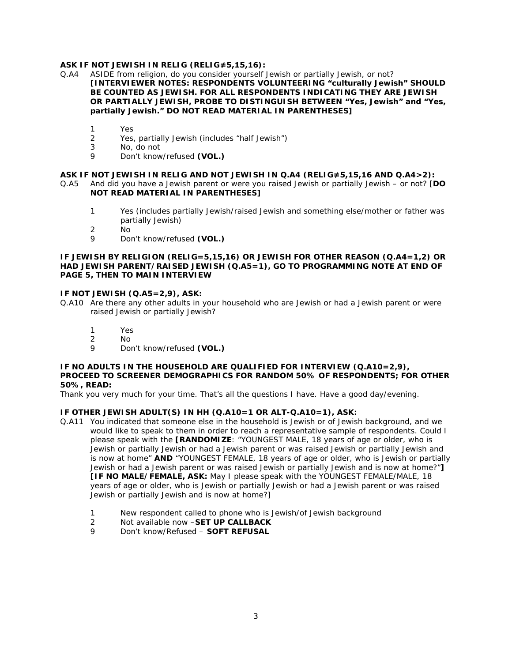## **ASK IF NOT JEWISH IN RELIG (RELIG≠5,15,16):**

- Q.A4 ASIDE from religion, do you consider yourself Jewish or partially Jewish, or not? **[INTERVIEWER NOTES: RESPONDENTS VOLUNTEERING "culturally Jewish" SHOULD BE COUNTED AS JEWISH. FOR ALL RESPONDENTS INDICATING THEY ARE JEWISH OR PARTIALLY JEWISH, PROBE TO DISTINGUISH BETWEEN "Yes, Jewish" and "Yes, partially Jewish." DO NOT READ MATERIAL IN PARENTHESES]**
	- 1 Yes
	- 2 Yes, partially Jewish (includes "half Jewish")
	- 3 No, do not
	- 9 Don't know/refused **(VOL.)**

#### **ASK IF NOT JEWISH IN RELIG AND NOT JEWISH IN Q.A4 (RELIG≠5,15,16 AND Q.A4>2):**

Q.A5 And did you have a Jewish parent or were you raised Jewish or partially Jewish – or not? [**DO NOT READ MATERIAL IN PARENTHESES]**

- 1 Yes (includes partially Jewish/raised Jewish and something else/mother or father was partially Jewish)
- 2 No
- 9 Don't know/refused **(VOL.)**

#### **IF JEWISH BY RELIGION (RELIG=5,15,16) OR JEWISH FOR OTHER REASON (Q.A4=1,2) OR HAD JEWISH PARENT/RAISED JEWISH (Q.A5=1), GO TO PROGRAMMING NOTE AT END OF PAGE 5, THEN TO MAIN INTERVIEW**

#### **IF NOT JEWISH (Q.A5=2,9), ASK:**

- Q.A10 Are there any other adults in your household who are Jewish or had a Jewish parent or were raised Jewish or partially Jewish?
	- 1 Yes
	- 2 No
	- 9 Don't know/refused **(VOL.)**

#### **IF NO ADULTS IN THE HOUSEHOLD ARE QUALIFIED FOR INTERVIEW (Q.A10=2,9), PROCEED TO SCREENER DEMOGRAPHICS FOR RANDOM 50% OF RESPONDENTS; FOR OTHER 50%, READ:**

Thank you very much for your time. That's all the questions I have. Have a good day/evening.

#### **IF OTHER JEWISH ADULT(S) IN HH (Q.A10=1 OR ALT-Q.A10=1), ASK:**

- Q.A11 You indicated that someone else in the household is Jewish or of Jewish background, and we would like to speak to them in order to reach a representative sample of respondents. Could I please speak with the **[RANDOMIZE**: "YOUNGEST MALE, 18 years of age or older, who is Jewish or partially Jewish or had a Jewish parent or was raised Jewish or partially Jewish and is now at home" **AND** "YOUNGEST FEMALE, 18 years of age or older, who is Jewish or partially Jewish or had a Jewish parent or was raised Jewish or partially Jewish and is now at home?"**] [IF NO MALE/FEMALE, ASK:** May I please speak with the YOUNGEST FEMALE/MALE, 18 years of age or older, who is Jewish or partially Jewish or had a Jewish parent or was raised Jewish or partially Jewish and is now at home?]
	- 1 New respondent called to phone who is Jewish/of Jewish background
	- 2 Not available now –**SET UP CALLBACK**
	- 9 Don't know/Refused **SOFT REFUSAL**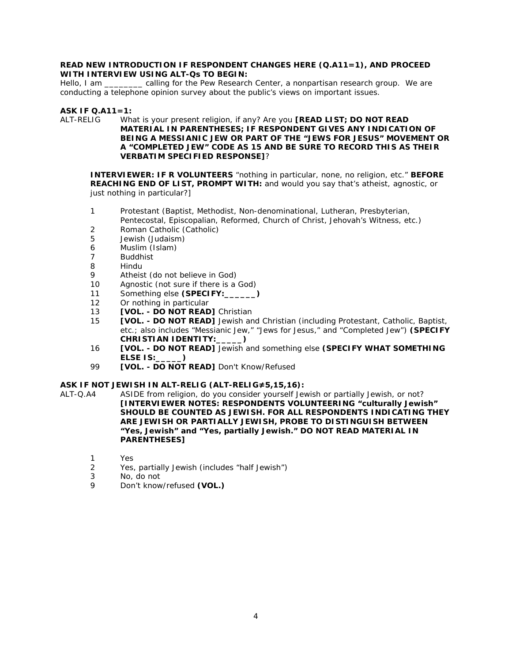#### **READ NEW INTRODUCTION IF RESPONDENT CHANGES HERE (Q.A11=1), AND PROCEED WITH INTERVIEW USING ALT-Qs TO BEGIN:**

Hello, I am \_\_\_\_\_\_\_\_\_ calling for the Pew Research Center, a nonpartisan research group. We are conducting a telephone opinion survey about the public's views on important issues.

## **ASK IF Q.A11=1:**

ALT-RELIG What is your present religion, if any? Are you **[READ LIST; DO NOT READ MATERIAL IN PARENTHESES; IF RESPONDENT GIVES ANY INDICATION OF BEING A MESSIANIC JEW OR PART OF THE "JEWS FOR JESUS" MOVEMENT OR A "COMPLETED JEW" CODE AS 15 AND BE SURE TO RECORD THIS AS THEIR VERBATIM SPECIFIED RESPONSE]**?

**INTERVIEWER: IF R VOLUNTEERS** "nothing in particular, none, no religion, etc." **BEFORE REACHING END OF LIST, PROMPT WITH:** and would you say that's atheist, agnostic, or just nothing in particular?]

- 1 Protestant (Baptist, Methodist, Non-denominational, Lutheran, Presbyterian, Pentecostal, Episcopalian, Reformed, Church of Christ, Jehovah's Witness, etc.)
- 2 Roman Catholic (Catholic)
- 5 Jewish (Judaism)
- 6 Muslim (Islam)
- 7 Buddhist<br>8 Hindu
- **Hindu**
- 9 Atheist (do not believe in God)
- 10 Agnostic (not sure if there is a God)
- 11 Something else **(SPECIFY:\_\_\_\_\_\_)**
- 12 Or nothing in particular
- 13 **[VOL. - DO NOT READ]** Christian
- 15 **[VOL. - DO NOT READ]** Jewish and Christian (including Protestant, Catholic, Baptist, etc.; also includes "Messianic Jew," "Jews for Jesus," and "Completed Jew") **(SPECIFY CHRISTIAN IDENTITY:\_\_\_\_\_)**
- 16 **[VOL. - DO NOT READ]** Jewish and something else **(SPECIFY WHAT SOMETHING ELSE IS:\_\_\_\_\_)**
- 99 **[VOL. - DO NOT READ]** Don't Know/Refused

## **ASK IF NOT JEWISH IN ALT-RELIG (ALT-RELIG≠5,15,16):**

ALT-Q.A4 ASIDE from religion, do you consider yourself Jewish or partially Jewish, or not? **[INTERVIEWER NOTES: RESPONDENTS VOLUNTEERING "culturally Jewish" SHOULD BE COUNTED AS JEWISH. FOR ALL RESPONDENTS INDICATING THEY ARE JEWISH OR PARTIALLY JEWISH, PROBE TO DISTINGUISH BETWEEN "Yes, Jewish" and "Yes, partially Jewish." DO NOT READ MATERIAL IN PARENTHESES]**

- 1 Yes
- 2 Yes, partially Jewish (includes "half Jewish")
- 3 No, do not
- 9 Don't know/refused **(VOL.)**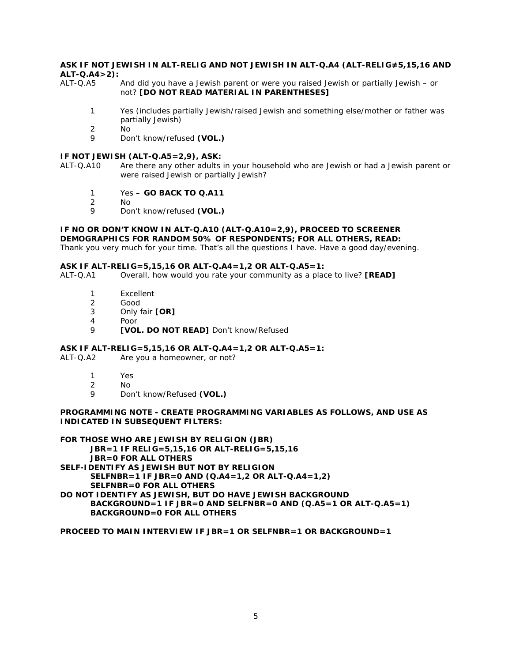## **ASK IF NOT JEWISH IN ALT-RELIG AND NOT JEWISH IN ALT-Q.A4 (ALT-RELIG≠5,15,16 AND ALT-Q.A4>2):**

And did you have a Jewish parent or were you raised Jewish or partially Jewish – or not? **[DO NOT READ MATERIAL IN PARENTHESES]**

- 1 Yes (includes partially Jewish/raised Jewish and something else/mother or father was partially Jewish)
- 2 No
- 9 Don't know/refused **(VOL.)**

#### **IF NOT JEWISH (ALT-Q.A5=2,9), ASK:**

- ALT-Q.A10 Are there any other adults in your household who are Jewish or had a Jewish parent or were raised Jewish or partially Jewish?
	- 1 Yes **– GO BACK TO Q.A11**
	- 2 No
	- 9 Don't know/refused **(VOL.)**

## **IF NO OR DON'T KNOW IN ALT-Q.A10 (ALT-Q.A10=2,9), PROCEED TO SCREENER DEMOGRAPHICS FOR RANDOM 50% OF RESPONDENTS; FOR ALL OTHERS, READ:**

Thank you very much for your time. That's all the questions I have. Have a good day/evening.

## **ASK IF ALT-RELIG=5,15,16 OR ALT-Q.A4=1,2 OR ALT-Q.A5=1:**

Overall, how would you rate your community as a place to live? **[READ]** 

- 1 Excellent
- 2 Good
- 3 Only fair **[OR]**
- 4 Poor<br>9 **IVOI**
- 9 **[VOL. DO NOT READ]** Don't know/Refused

#### **ASK IF ALT-RELIG=5,15,16 OR ALT-Q.A4=1,2 OR ALT-Q.A5=1:**

ALT-Q.A2 Are you a homeowner, or not?

- 1 Yes
- 2 No
- 9 Don't know/Refused **(VOL.)**

#### **PROGRAMMING NOTE - CREATE PROGRAMMING VARIABLES AS FOLLOWS, AND USE AS INDICATED IN SUBSEQUENT FILTERS:**

**FOR THOSE WHO ARE JEWISH BY RELIGION (JBR)**

**JBR=1 IF RELIG=5,15,16 OR ALT-RELIG=5,15,16**

**JBR=0 FOR ALL OTHERS**

**SELF-IDENTIFY AS JEWISH BUT NOT BY RELIGION**

**SELFNBR=1 IF JBR=0 AND (Q.A4=1,2 OR ALT-Q.A4=1,2)**

**SELFNBR=0 FOR ALL OTHERS**

**DO NOT IDENTIFY AS JEWISH, BUT DO HAVE JEWISH BACKGROUND BACKGROUND=1 IF JBR=0 AND SELFNBR=0 AND (Q.A5=1 OR ALT-Q.A5=1) BACKGROUND=0 FOR ALL OTHERS**

## **PROCEED TO MAIN INTERVIEW IF JBR=1 OR SELFNBR=1 OR BACKGROUND=1**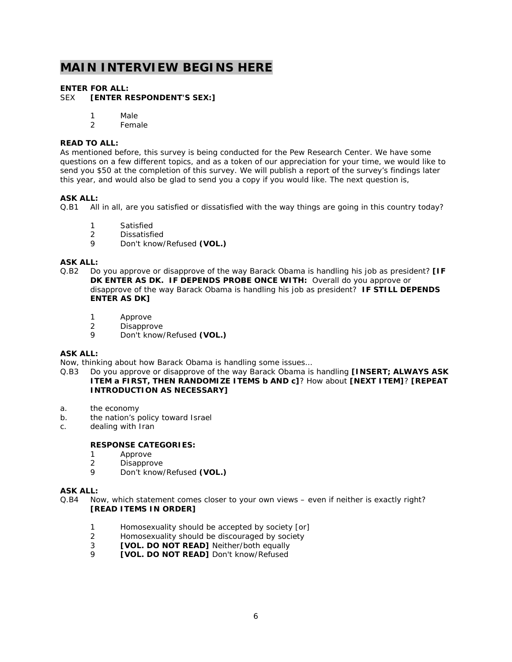## **MAIN INTERVIEW BEGINS HERE**

# **ENTER FOR ALL:**<br>SEX **FENTER R**

#### **[ENTER RESPONDENT'S SEX:]**

- 1 Male
- 2 Female

#### **READ TO ALL:**

As mentioned before, this survey is being conducted for the Pew Research Center. We have some questions on a few different topics, and as a token of our appreciation for your time, we would like to send you \$50 at the completion of this survey. We will publish a report of the survey's findings later this year, and would also be glad to send you a copy if you would like. The next question is,

## **ASK ALL:**

Q.B1 All in all, are you satisfied or dissatisfied with the way things are going in this country today?

- 1 Satisfied
- 2 Dissatisfied<br>9 Don't know
- 9 Don't know/Refused **(VOL.)**

#### **ASK ALL:**

- Q.B2 Do you approve or disapprove of the way Barack Obama is handling his job as president? **[IF DK ENTER AS DK. IF DEPENDS PROBE ONCE WITH:** Overall do you approve or disapprove of the way Barack Obama is handling his job as president? **IF STILL DEPENDS ENTER AS DK]** 
	- 1 Approve
	- 2 Disapprove<br>9 Don't know
	- 9 Don't know/Refused **(VOL.)**

#### **ASK ALL:**

Now, thinking about how Barack Obama is handling some issues…

- Q.B3 Do you approve or disapprove of the way Barack Obama is handling **[INSERT; ALWAYS ASK ITEM a FIRST, THEN RANDOMIZE ITEMS b AND c]**? How about **[NEXT ITEM]**? **[REPEAT INTRODUCTION AS NECESSARY]**
- a. the economy
- b. the nation's policy toward Israel
- c. dealing with Iran

## **RESPONSE CATEGORIES:**

- 1 Approve
- 2 Disapprove
- 9 Don't know/Refused **(VOL.)**

#### **ASK ALL:**

- Q.B4 Now, which statement comes closer to your own views even if neither is exactly right? **[READ ITEMS IN ORDER]**
	- 1 Homosexuality should be accepted by society [or]
	- 2 Homosexuality should be discouraged by society
	- 3 **[VOL. DO NOT READ]** Neither/both equally
	- 9 **[VOL. DO NOT READ]** Don't know/Refused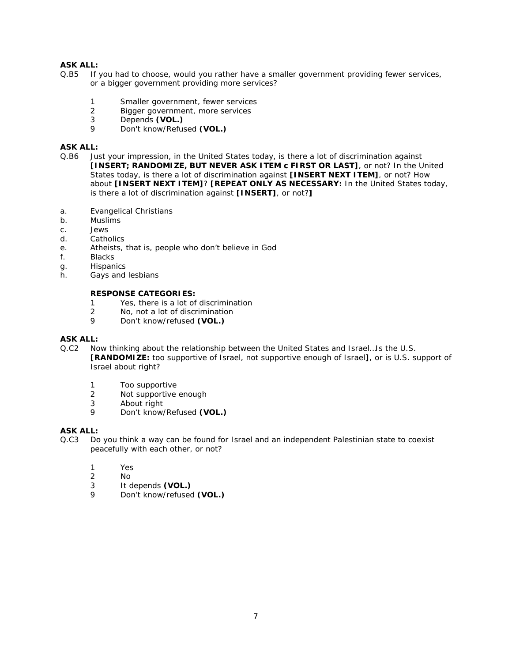- Q.B5 If you had to choose, would you rather have a smaller government providing fewer services, or a bigger government providing more services?
	- 1 Smaller government, fewer services<br>2 Bigger government, more services
	- Bigger government, more services
	- 3 Depends **(VOL.)**
	- 9 Don't know/Refused **(VOL.)**

## **ASK ALL:**

- Q.B6 Just your impression, in the United States today, is there a lot of discrimination against **[INSERT; RANDOMIZE, BUT NEVER ASK ITEM c FIRST OR LAST]**, or not? In the United States today, is there a lot of discrimination against **[INSERT NEXT ITEM]**, or not? How about **[INSERT NEXT ITEM]**? **[REPEAT ONLY AS NECESSARY:** In the United States today, is there a lot of discrimination against **[INSERT]**, or not?**]**
- a. Evangelical Christians
- b. Muslims
- c. Jews
- d. Catholics
- e. Atheists, that is, people who don't believe in God
- f. Blacks
- g. Hispanics
- h. Gays and lesbians

#### **RESPONSE CATEGORIES:**

- 1 Yes, there is a lot of discrimination
- 2 No, not a lot of discrimination
- 9 Don't know/refused **(VOL.)**

### **ASK ALL:**

- Q.C2 Now thinking about the relationship between the United States and Israel…Is the U.S. **[RANDOMIZE:** too supportive of Israel, not supportive enough of Israel**]**, or is U.S. support of Israel about right?
	- 1 Too supportive<br>2 Not supportive
	- Not supportive enough
	- 3 About right
	- 9 Don't know/Refused **(VOL.)**

### **ASK ALL:**

- Q.C3 Do you think a way can be found for Israel and an independent Palestinian state to coexist peacefully with each other, or not?
	- 1 Yes
	- 2 No
	- 3 It depends **(VOL.)**
	- 9 Don't know/refused **(VOL.)**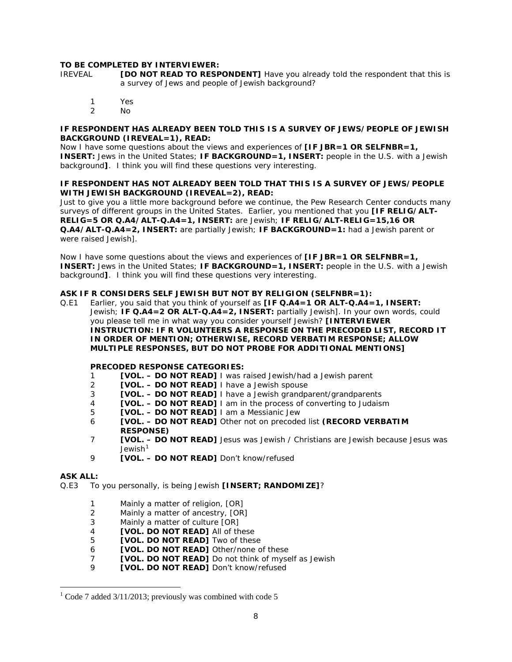#### **TO BE COMPLETED BY INTERVIEWER:**

- IREVEAL **[DO NOT READ TO RESPONDENT]** Have you already told the respondent that this is a survey of Jews and people of Jewish background?
	- 1 Yes
	- No.

#### **IF RESPONDENT HAS ALREADY BEEN TOLD THIS IS A SURVEY OF JEWS/PEOPLE OF JEWISH BACKGROUND (IREVEAL=1), READ:**

Now I have some questions about the views and experiences of **[IF JBR=1 OR SELFNBR=1, INSERT:** Jews in the United States; **IF BACKGROUND=1, INSERT:** people in the U.S. with a Jewish background**]**. I think you will find these questions very interesting.

#### **IF RESPONDENT HAS NOT ALREADY BEEN TOLD THAT THIS IS A SURVEY OF JEWS/PEOPLE WITH JEWISH BACKGROUND (IREVEAL=2), READ:**

Just to give you a little more background before we continue, the Pew Research Center conducts many surveys of different groups in the United States. Earlier, you mentioned that you **[IF RELIG/ALT-RELIG=5 OR Q.A4/ALT-Q.A4=1, INSERT:** are Jewish; **IF RELIG/ALT-RELIG=15,16 OR Q.A4/ALT-Q.A4=2, INSERT:** are partially Jewish; **IF BACKGROUND=1:** had a Jewish parent or were raised Jewish].

Now I have some questions about the views and experiences of **[IF JBR=1 OR SELFNBR=1, INSERT:** Jews in the United States; **IF BACKGROUND=1, INSERT:** people in the U.S. with a Jewish background**]**. I think you will find these questions very interesting.

#### **ASK IF R CONSIDERS SELF JEWISH BUT NOT BY RELIGION (SELFNBR=1):**

Q.E1 Earlier, you said that you think of yourself as **[IF Q.A4=1 OR ALT-Q.A4=1, INSERT:** Jewish; **IF Q.A4=2 OR ALT-Q.A4=2, INSERT:** partially Jewish]. In your own words, could you please tell me in what way you consider yourself Jewish? **[INTERVIEWER INSTRUCTION: IF R VOLUNTEERS A RESPONSE ON THE PRECODED LIST, RECORD IT IN ORDER OF MENTION; OTHERWISE, RECORD VERBATIM RESPONSE; ALLOW MULTIPLE RESPONSES, BUT DO NOT PROBE FOR ADDITIONAL MENTIONS]**

#### **PRECODED RESPONSE CATEGORIES:**

- 1 **[VOL. – DO NOT READ]** I was raised Jewish/had a Jewish parent
- 2 **[VOL. – DO NOT READ]** I have a Jewish spouse
- 3 **[VOL. – DO NOT READ]** I have a Jewish grandparent/grandparents
- 4 **[VOL. – DO NOT READ]** I am in the process of converting to Judaism
- 5 **[VOL. – DO NOT READ]** I am a Messianic Jew
- 6 **[VOL. – DO NOT READ]** Other not on precoded list **(RECORD VERBATIM RESPONSE)**
- 7 **[VOL. – DO NOT READ]** Jesus was Jewish / Christians are Jewish because Jesus was Jewish $1$
- 9 **[VOL. – DO NOT READ]** Don't know/refused

#### **ASK ALL:**

Q.E3 To you personally, is being Jewish **[INSERT; RANDOMIZE]**?

- 1 Mainly a matter of religion, [OR]
- 2 Mainly a matter of ancestry, [OR]
- 3 Mainly a matter of culture [OR]
- 4 **[VOL. DO NOT READ]** All of these
- 5 **[VOL. DO NOT READ]** Two of these
- 6 **[VOL. DO NOT READ]** Other/none of these
- 7 **[VOL. DO NOT READ]** Do not think of myself as Jewish
- 9 **[VOL. DO NOT READ]** Don't know/refused

<span id="page-7-0"></span> $1$  Code 7 added 3/11/2013; previously was combined with code 5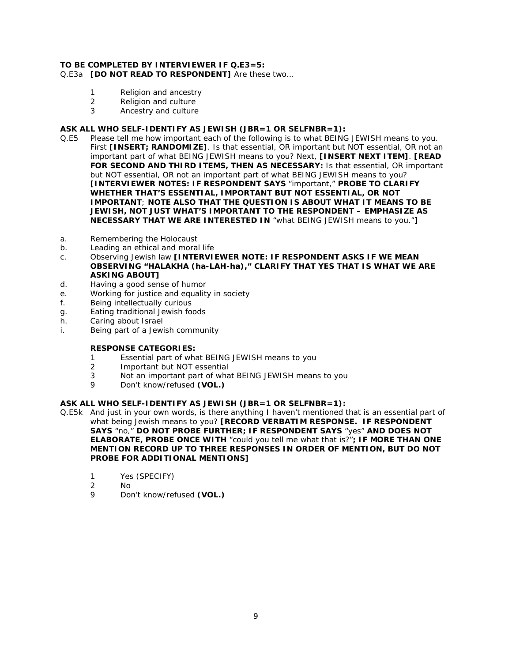## **TO BE COMPLETED BY INTERVIEWER IF Q.E3=5:**

## Q.E3a **[DO NOT READ TO RESPONDENT]** Are these two…

- 1 Religion and ancestry
- 2 Religion and culture
- 3 Ancestry and culture

## **ASK ALL WHO SELF-IDENTIFY AS JEWISH (JBR=1 OR SELFNBR=1):**

- Q.E5 Please tell me how important each of the following is to what BEING JEWISH means to you. First **[INSERT; RANDOMIZE]**. Is that essential, OR important but NOT essential, OR not an important part of what BEING JEWISH means to you? Next, **[INSERT NEXT ITEM]**. **[READ FOR SECOND AND THIRD ITEMS, THEN AS NECESSARY:** Is that essential, OR important but NOT essential, OR not an important part of what BEING JEWISH means to you? **[INTERVIEWER NOTES: IF RESPONDENT SAYS** "important," **PROBE TO CLARIFY WHETHER THAT'S ESSENTIAL, IMPORTANT BUT NOT ESSENTIAL, OR NOT IMPORTANT**; **NOTE ALSO THAT THE QUESTION IS ABOUT WHAT IT MEANS TO BE JEWISH, NOT JUST WHAT'S IMPORTANT TO THE RESPONDENT – EMPHASIZE AS NECESSARY THAT WE ARE INTERESTED IN** "what BEING JEWISH means to you."**]**
- a. Remembering the Holocaust
- b. Leading an ethical and moral life
- c. Observing Jewish law **[INTERVIEWER NOTE: IF RESPONDENT ASKS IF WE MEAN OBSERVING "HALAKHA (ha-LAH-ha)," CLARIFY THAT YES THAT IS WHAT WE ARE ASKING ABOUT]**
- d. Having a good sense of humor
- e. Working for justice and equality in society
- f. Being intellectually curious
- g. Eating traditional Jewish foods
- h. Caring about Israel
- i. Being part of a Jewish community

#### **RESPONSE CATEGORIES:**

- 1 Essential part of what BEING JEWISH means to you
- 2 Important but NOT essential
- 3 Not an important part of what BEING JEWISH means to you
- 9 Don't know/refused **(VOL.)**

#### **ASK ALL WHO SELF-IDENTIFY AS JEWISH (JBR=1 OR SELFNBR=1):**

- Q.E5k And just in your own words, is there anything I haven't mentioned that is an essential part of what being Jewish means to you? **[RECORD VERBATIM RESPONSE. IF RESPONDENT SAYS** "no," **DO NOT PROBE FURTHER; IF RESPONDENT SAYS** "yes" **AND DOES NOT ELABORATE, PROBE ONCE WITH** "could you tell me what that is?"**; IF MORE THAN ONE MENTION RECORD UP TO THREE RESPONSES IN ORDER OF MENTION, BUT DO NOT PROBE FOR ADDITIONAL MENTIONS]**
	- 1 Yes (SPECIFY)
	- 2 No
	- 9 Don't know/refused **(VOL.)**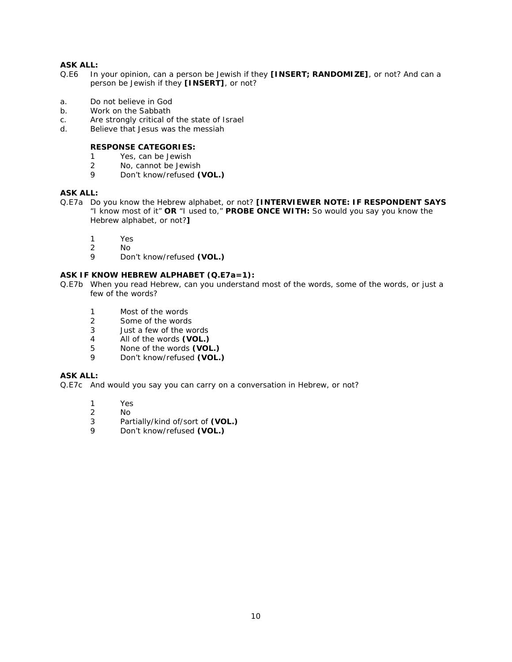- Q.E6 In your opinion, can a person be Jewish if they **[INSERT; RANDOMIZE]**, or not? And can a person be Jewish if they **[INSERT]**, or not?
- a. Do not believe in God
- b. Work on the Sabbath
- c. Are strongly critical of the state of Israel<br>d. Believe that Jesus was the messiah
- Believe that Jesus was the messiah

## **RESPONSE CATEGORIES:**

- 1 Yes, can be Jewish
- 2 No, cannot be Jewish<br>9 Don't know/refused C
- 9 Don't know/refused **(VOL.)**

## **ASK ALL:**

- Q.E7a Do you know the Hebrew alphabet, or not? **[INTERVIEWER NOTE: IF RESPONDENT SAYS** "I know most of it" **OR** "I used to," **PROBE ONCE WITH:** So would you say you know the Hebrew alphabet, or not?**]**
	- 1 Yes
	- 2 No<br>9 Dot
	- 9 Don't know/refused **(VOL.)**

## **ASK IF KNOW HEBREW ALPHABET (Q.E7a=1):**

- Q.E7b When you read Hebrew, can you understand most of the words, some of the words, or just a few of the words?
	- 1 Most of the words
	- 2 Some of the words<br>3 Just a few of the wo
	- Just a few of the words
	- 4 All of the words **(VOL.)**
	- 5 None of the words **(VOL.)**
	- 9 Don't know/refused **(VOL.)**

#### **ASK ALL:**

Q.E7c And would you say you can carry on a conversation in Hebrew, or not?

- 1 Yes
- 2 No
- 3 Partially/kind of/sort of **(VOL.)**
- 9 Don't know/refused **(VOL.)**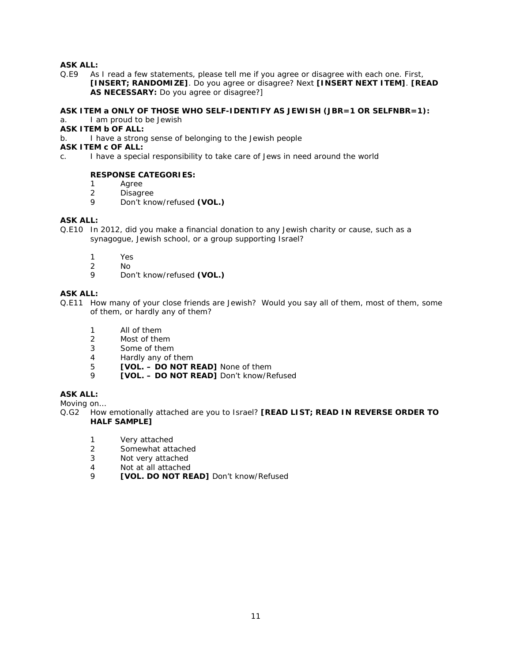Q.E9 As I read a few statements, please tell me if you agree or disagree with each one. First, **[INSERT; RANDOMIZE]**. Do you agree or disagree? Next **[INSERT NEXT ITEM]**. **[READ AS NECESSARY:** Do you agree or disagree?]

## **ASK ITEM a ONLY OF THOSE WHO SELF-IDENTIFY AS JEWISH (JBR=1 OR SELFNBR=1):**

## a. I am proud to be Jewish

**ASK ITEM b OF ALL:**

b. I have a strong sense of belonging to the Jewish people

**ASK ITEM c OF ALL:**

c. I have a special responsibility to take care of Jews in need around the world

#### **RESPONSE CATEGORIES:**

- 1 Agree<br>2 Disagr
- 2 Disagree<br>9 Don't kno
- 9 Don't know/refused **(VOL.)**

### **ASK ALL:**

- Q.E10 In 2012, did you make a financial donation to any Jewish charity or cause, such as a synagogue, Jewish school, or a group supporting Israel?
	- 1 Yes<br>2 No
	- 2 No
	- 9 Don't know/refused **(VOL.)**

## **ASK ALL:**

- Q.E11 How many of your close friends are Jewish? Would you say all of them, most of them, some of them, or hardly any of them?
	- 1 All of them
	- 2 Most of them
	- 3 Some of them
	- 4 Hardly any of them
	- 5 **[VOL. – DO NOT READ]** None of them
	- 9 **[VOL. – DO NOT READ]** Don't know/Refused

## **ASK ALL:**

Moving on…

- Q.G2 How emotionally attached are you to Israel? **[READ LIST; READ IN REVERSE ORDER TO HALF SAMPLE]**
	- 1 Very attached
	- 2 Somewhat attached
	- 3 Not very attached
	- 4 Not at all attached<br>9 **IVOL DO NOT RE**
	- **[VOL. DO NOT READ]** Don't know/Refused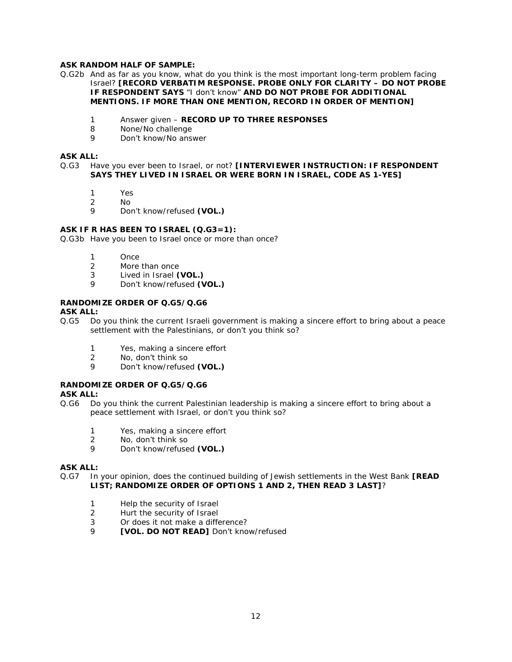### **ASK RANDOM HALF OF SAMPLE:**

- Q.G2b And as far as you know, what do you think is the most important long-term problem facing Israel? **[RECORD VERBATIM RESPONSE. PROBE ONLY FOR CLARITY – DO NOT PROBE IF RESPONDENT SAYS** "I don't know" **AND DO NOT PROBE FOR ADDITIONAL MENTIONS. IF MORE THAN ONE MENTION, RECORD IN ORDER OF MENTION]**
	- 1 Answer given **RECORD UP TO THREE RESPONSES**
	- 8 None/No challenge<br>9 Don't know/No ansi
	- Don't know/No answer

#### **ASK ALL:**

#### Q.G3 Have you ever been to Israel, or not? **[INTERVIEWER INSTRUCTION: IF RESPONDENT SAYS THEY LIVED IN ISRAEL OR WERE BORN IN ISRAEL, CODE AS 1-YES]**

- 1 Yes
- 2 No
- 9 Don't know/refused **(VOL.)**

#### **ASK IF R HAS BEEN TO ISRAEL (Q.G3=1):**

Q.G3b Have you been to Israel once or more than once?

- 1 Once<br>2 More
- 2 More than once<br>3 Lived in Israel (
- 3 Lived in Israel **(VOL.)**
- 9 Don't know/refused **(VOL.)**

## **RANDOMIZE ORDER OF Q.G5/Q.G6**

#### **ASK ALL:**

- Q.G5 Do you think the current Israeli government is making a sincere effort to bring about a peace settlement with the Palestinians, or don't you think so?
	- 1 Yes, making a sincere effort
	- 2 No, don't think so
	- 9 Don't know/refused **(VOL.)**

## **RANDOMIZE ORDER OF Q.G5/Q.G6**

#### **ASK ALL:**

- Q.G6 Do you think the current Palestinian leadership is making a sincere effort to bring about a peace settlement with Israel, or don't you think so?
	- 1 Yes, making a sincere effort
	- 2 No, don't think so
	- 9 Don't know/refused **(VOL.)**

#### **ASK ALL:**

- Q.G7 In your opinion, does the continued building of Jewish settlements in the West Bank **[READ LIST; RANDOMIZE ORDER OF OPTIONS 1 AND 2, THEN READ 3 LAST]**?
	- 1 Help the security of Israel
	- 2 Hurt the security of Israel
	- 3 Or does it not make a difference?
	- 9 **[VOL. DO NOT READ]** Don't know/refused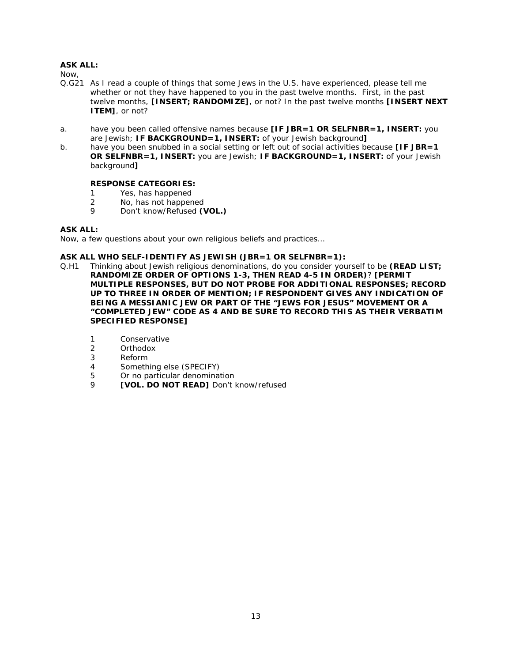Now,

- Q.G21 As I read a couple of things that some Jews in the U.S. have experienced, please tell me whether or not they have happened to you *in the past twelve months*. First, in the past twelve months, **[INSERT; RANDOMIZE]**, or not? In the past twelve months **[INSERT NEXT ITEM]**, or not?
- a. have you been called offensive names because **[IF JBR=1 OR SELFNBR=1, INSERT:** you are Jewish; **IF BACKGROUND=1, INSERT:** of your Jewish background**]**
- b. have you been snubbed in a social setting or left out of social activities because **[IF JBR=1 OR SELFNBR=1, INSERT:** you are Jewish; **IF BACKGROUND=1, INSERT:** of your Jewish background**]**

## **RESPONSE CATEGORIES:**

- 1 Yes, has happened<br>2 No, has not happer
- 2 No, has not happened<br>9 Don't know/Pefused O
- Don't know/Refused **(VOL.)**

## **ASK ALL:**

Now, a few questions about your own religious beliefs and practices…

## **ASK ALL WHO SELF-IDENTIFY AS JEWISH (JBR=1 OR SELFNBR=1):**

- Q.H1 Thinking about Jewish religious denominations, do you consider yourself to be **(READ LIST; RANDOMIZE ORDER OF OPTIONS 1-3, THEN READ 4-5 IN ORDER)**? **[PERMIT MULTIPLE RESPONSES, BUT DO NOT PROBE FOR ADDITIONAL RESPONSES; RECORD UP TO THREE IN ORDER OF MENTION; IF RESPONDENT GIVES ANY INDICATION OF BEING A MESSIANIC JEW OR PART OF THE "JEWS FOR JESUS" MOVEMENT OR A "COMPLETED JEW" CODE AS 4 AND BE SURE TO RECORD THIS AS THEIR VERBATIM SPECIFIED RESPONSE]**
	- 1 Conservative
	- 2 Orthodox
	- 3 Reform
	- 4 Something else (SPECIFY)
	- 5 Or no particular denomination
	- 9 **[VOL. DO NOT READ]** Don't know/refused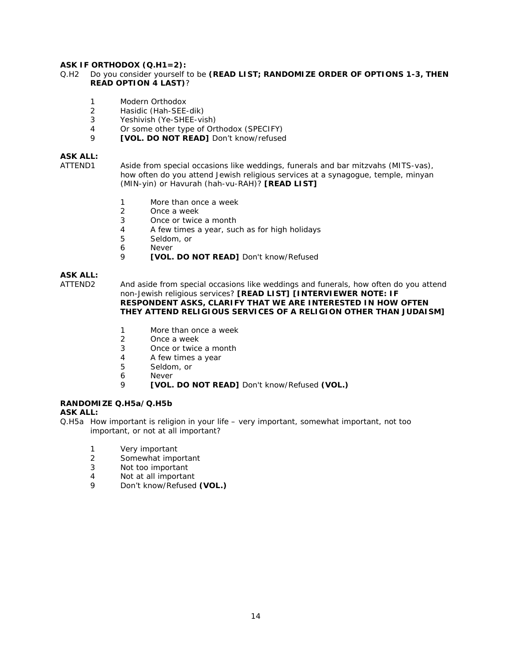### **ASK IF ORTHODOX (Q.H1=2):**

#### Q.H2 Do you consider yourself to be **(READ LIST; RANDOMIZE ORDER OF OPTIONS 1-3, THEN READ OPTION 4 LAST)**?

- 1 Modern Orthodox<br>2 Hasidic (Hah-SEE
- Hasidic (Hah-SEE-dik)
- 3 Yeshivish (Ye-SHEE-vish)<br>4 Or some other type of Ori
- 4 Or some other type of Orthodox (SPECIFY)<br>9 **IVOL DO NOT READ1** Don't know/refused
- 9 **[VOL. DO NOT READ]** Don't know/refused

## **ASK ALL:**

ATTEND1 Aside from special occasions like weddings, funerals and bar mitzvahs (MITS-vas), how often do you attend Jewish religious services at a synagogue, temple, minyan (MIN-yin) or Havurah (hah-vu-RAH)? **[READ LIST]**

- 1 More than once a week<br>2 Once a week
- 2 Once a week<br>3 Once or twice
- Once or twice a month
- 4 A few times a year, such as for high holidays<br>5 Seldom, or
- Seldom, or
- 6 Never<br>9 **EVOL**
- 9 **[VOL. DO NOT READ]** Don't know/Refused

## **ASK ALL:**

ATTEND2 And aside from special occasions like weddings and funerals, how often do you attend non-Jewish religious services? **[READ LIST] [INTERVIEWER NOTE: IF RESPONDENT ASKS, CLARIFY THAT WE ARE INTERESTED IN HOW OFTEN THEY ATTEND RELIGIOUS SERVICES OF A RELIGION OTHER THAN JUDAISM]**

- 1 More than once a week
- 2 Once a week
- 3 Once or twice a month
- 4 A few times a year
- 5 Seldom, or
- 6 Never
- 9 **[VOL. DO NOT READ]** Don't know/Refused **(VOL.)**

## **RANDOMIZE Q.H5a/Q.H5b**

#### **ASK ALL:**

- Q.H5a How important is religion in your life very important, somewhat important, not too important, or not at all important?
	- 1 Very important<br>2 Somewhat import
	- Somewhat important
	- 3 Not too important
	- 4 Not at all important
	- 9 Don't know/Refused **(VOL.)**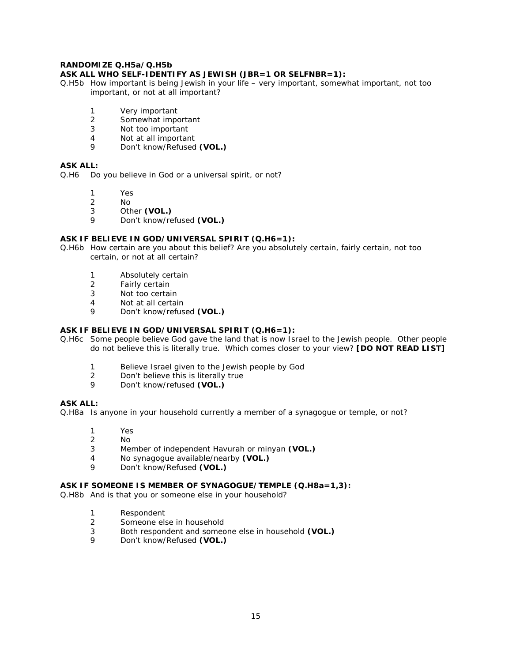### **RANDOMIZE Q.H5a/Q.H5b**

#### **ASK ALL WHO SELF-IDENTIFY AS JEWISH (JBR=1 OR SELFNBR=1):**

- Q.H5b How important is being Jewish in your life very important, somewhat important, not too important, or not at all important?
	- 1 Very important
	- 2 Somewhat important<br>3 Not too important
	- Not too important
	- 4 Not at all important<br>9 Don't know/Refused
	- 9 Don't know/Refused **(VOL.)**

## **ASK ALL:**

Q.H6 Do you believe in God or a universal spirit, or not?

- 
- 1 Yes<br>2 No
- 2 No<br>3 Oth Other **(VOL.)**
- 9 Don't know/refused **(VOL.)**

## **ASK IF BELIEVE IN GOD/UNIVERSAL SPIRIT (Q.H6=1):**

Q.H6b How certain are you about this belief? Are you absolutely certain, fairly certain, not too certain, or not at all certain?

- 1 Absolutely certain<br>2 Fairly certain
- Fairly certain
- 3 Not too certain
- 4 Not at all certain
- 9 Don't know/refused **(VOL.)**

## **ASK IF BELIEVE IN GOD/UNIVERSAL SPIRIT (Q.H6=1):**

- Q.H6c Some people believe God gave the land that is now Israel to the Jewish people. Other people do not believe this is literally true. Which comes closer to your view? **[DO NOT READ LIST]**
	- 1 Believe Israel given to the Jewish people by God
	- 2 Don't believe this is literally true
	- 9 Don't know/refused **(VOL.)**

#### **ASK ALL:**

Q.H8a Is anyone in your household currently a member of a synagogue or temple, or not?

- 1 Yes
- 2 No
- 3 Member of independent Havurah or minyan **(VOL.)**
- 4 No synagogue available/nearby **(VOL.)**
- 9 Don't know/Refused **(VOL.)**

#### **ASK IF SOMEONE IS MEMBER OF SYNAGOGUE/TEMPLE (Q.H8a=1,3):**

Q.H8b And is that you or someone else in your household?

- 1 Respondent<br>2 Someone els
- Someone else in household
- 3 Both respondent and someone else in household **(VOL.)**
- 9 Don't know/Refused **(VOL.)**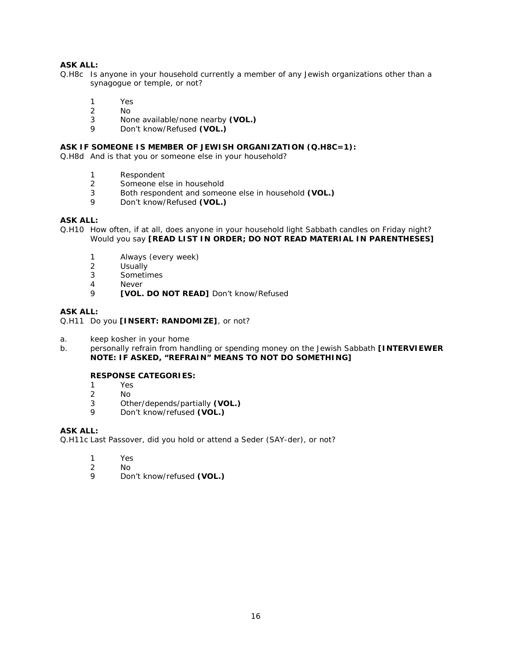- Q.H8c Is anyone in your household currently a member of any Jewish organizations other than a synagogue or temple, or not?
	- 1 Yes<br>2 No
	- No.
	- 3 None available/none nearby **(VOL.)**
	- 9 Don't know/Refused **(VOL.)**

## **ASK IF SOMEONE IS MEMBER OF JEWISH ORGANIZATION (Q.H8C=1):**

Q.H8d And is that you or someone else in your household?

- 1 Respondent
- 2 Someone else in household<br>3 Both respondent and someo
- 3 Both respondent and someone else in household **(VOL.)**
- 9 Don't know/Refused **(VOL.)**

## **ASK ALL:**

Q.H10 How often, if at all, does anyone in your household light Sabbath candles on Friday night? Would you say **[READ LIST IN ORDER; DO NOT READ MATERIAL IN PARENTHESES]**

- 1 Always (every week)<br>2 Usually
- 2 Usually<br>3 Sometin
- **Sometimes**
- 4 Never
- 9 **[VOL. DO NOT READ]** Don't know/Refused

### **ASK ALL:**

Q.H11 Do you **[INSERT: RANDOMIZE]**, or not?

- a. keep kosher in your home
- b. personally refrain from handling or spending money on the Jewish Sabbath **[INTERVIEWER NOTE: IF ASKED, "REFRAIN" MEANS TO NOT DO SOMETHING]**

## **RESPONSE CATEGORIES:**

- 1 Yes<br>2 No
- N<sub>o</sub>
- 3 Other/depends/partially **(VOL.)**
- 9 Don't know/refused **(VOL.)**

### **ASK ALL:**

Q.H11c Last Passover, did you hold or attend a Seder (SAY-der), or not?

- 1 Yes
- $\frac{2}{9}$  No
- 9 Don't know/refused **(VOL.)**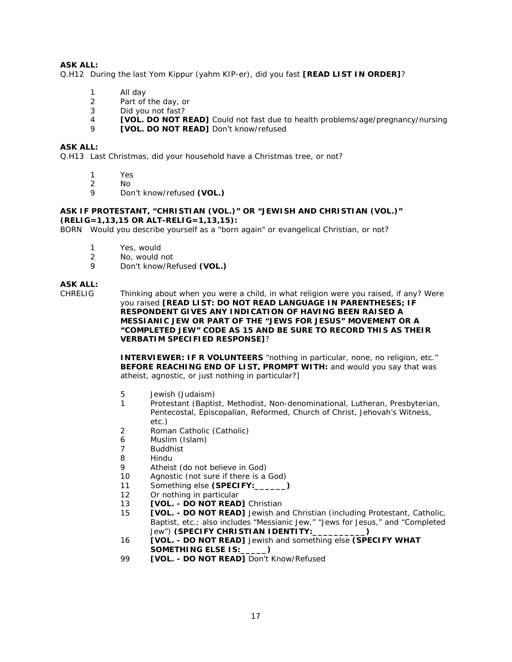Q.H12 During the last Yom Kippur (yahm KIP-er), did you fast **[READ LIST IN ORDER]**?

- 1 All day
- 2 Part of the day, or
- 3 Did you not fast?
- **4 [VOL. DO NOT READ]** Could not fast due to health problems/age/pregnancy/nursing<br>**property OL DO NOT PEAD1** Don't know/refused
- 9 **[VOL. DO NOT READ]** Don't know/refused

#### **ASK ALL:**

Q.H13 Last Christmas, did your household have a Christmas tree, or not?

- 1 Yes
- 2 No<br>9 Dou
- 9 Don't know/refused **(VOL.)**

#### **ASK IF PROTESTANT, "CHRISTIAN (VOL.)" OR "JEWISH AND CHRISTIAN (VOL.)" (RELIG=1,13,15 OR ALT-RELIG=1,13,15):**

BORN Would you describe yourself as a "born again" or evangelical Christian, or not?

- 1 Yes, would<br>2 No. would t
- 2 No, would not<br>9 Don't know/Pe
- 9 Don't know/Refused **(VOL.)**

## **ASK ALL:**

CHRELIG Thinking about when you were a child, in what religion were you raised, if any? Were you raised **[READ LIST: DO NOT READ LANGUAGE IN PARENTHESES; IF RESPONDENT GIVES ANY INDICATION OF HAVING BEEN RAISED A MESSIANIC JEW OR PART OF THE "JEWS FOR JESUS" MOVEMENT OR A "COMPLETED JEW" CODE AS 15 AND BE SURE TO RECORD THIS AS THEIR VERBATIM SPECIFIED RESPONSE]**?

> **INTERVIEWER: IF R VOLUNTEERS** "nothing in particular, none, no religion, etc." **BEFORE REACHING END OF LIST, PROMPT WITH:** and would you say that was atheist, agnostic, or just nothing in particular?]

- 5 Jewish (Judaism)
- 1 Protestant (Baptist, Methodist, Non-denominational, Lutheran, Presbyterian, Pentecostal, Episcopalian, Reformed, Church of Christ, Jehovah's Witness, etc.)
- 2 Roman Catholic (Catholic)
- 6 Muslim (Islam)
- 7 Buddhist
- 8 Hindu
- 9 Atheist (do not believe in God)
- 10 Agnostic (not sure if there is a God)
- 11 Something else **(SPECIFY:\_\_\_\_\_\_)**
- 12 Or nothing in particular
- 13 **[VOL. - DO NOT READ]** Christian
- 15 **[VOL. - DO NOT READ]** Jewish and Christian (including Protestant, Catholic, Baptist, etc.; also includes "Messianic Jew," "Jews for Jesus," and "Completed Jew") **(SPECIFY CHRISTIAN IDENTITY:\_\_\_\_\_\_\_\_\_\_)**
- 16 **[VOL. - DO NOT READ]** Jewish and something else **(SPECIFY WHAT SOMETHING ELSE IS:\_\_\_\_\_)**
- 99 **[VOL. - DO NOT READ]** Don't Know/Refused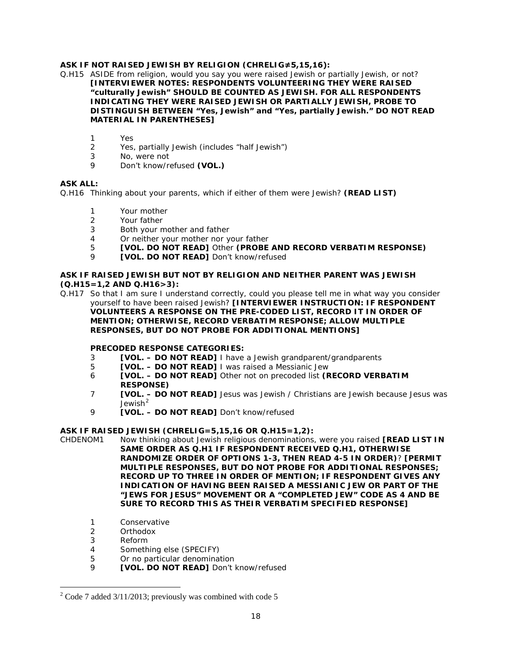### **ASK IF NOT RAISED JEWISH BY RELIGION (CHRELIG≠5,15,16):**

Q.H15 ASIDE from religion, would you say you were raised Jewish or partially Jewish, or not? **[INTERVIEWER NOTES: RESPONDENTS VOLUNTEERING THEY WERE RAISED "culturally Jewish" SHOULD BE COUNTED AS JEWISH. FOR ALL RESPONDENTS INDICATING THEY WERE RAISED JEWISH OR PARTIALLY JEWISH, PROBE TO DISTINGUISH BETWEEN "Yes, Jewish" and "Yes, partially Jewish." DO NOT READ MATERIAL IN PARENTHESES]**

- 1 Yes
- 2 Yes, partially Jewish (includes "half Jewish")
- 3 No, were not
- 9 Don't know/refused **(VOL.)**

## **ASK ALL:**

Q.H16 Thinking about your parents, which if either of them were Jewish? **(READ LIST)**

- 1 Your mother<br>2 Your father
- Your father
- 3 Both your mother and father
- 4 Or neither your mother nor your father
- 5 **[VOL. DO NOT READ]** Other **(PROBE AND RECORD VERBATIM RESPONSE)**
	- **[VOL. DO NOT READ]** Don't know/refused

#### **ASK IF RAISED JEWISH BUT NOT BY RELIGION AND NEITHER PARENT WAS JEWISH (Q.H15=1,2 AND Q.H16>3):**

Q.H17 So that I am sure I understand correctly, could you please tell me in what way you consider yourself to have been raised Jewish? **[INTERVIEWER INSTRUCTION: IF RESPONDENT VOLUNTEERS A RESPONSE ON THE PRE-CODED LIST, RECORD IT IN ORDER OF MENTION; OTHERWISE, RECORD VERBATIM RESPONSE; ALLOW MULTIPLE RESPONSES, BUT DO NOT PROBE FOR ADDITIONAL MENTIONS]** 

#### **PRECODED RESPONSE CATEGORIES:**

- 3 **[VOL. – DO NOT READ]** I have a Jewish grandparent/grandparents
- 5 **[VOL. – DO NOT READ]** I was raised a Messianic Jew
- 6 **[VOL. – DO NOT READ]** Other not on precoded list **(RECORD VERBATIM RESPONSE)**
- 7 **[VOL. – DO NOT READ]** Jesus was Jewish / Christians are Jewish because Jesus was Jewish<sup>[2](#page-17-0)</sup>
- 9 **[VOL. – DO NOT READ]** Don't know/refused

#### **ASK IF RAISED JEWISH (CHRELIG=5,15,16 OR Q.H15=1,2):**

- CHDENOM1 Now thinking about Jewish religious denominations, were you raised **[READ LIST IN SAME ORDER AS Q.H1 IF RESPONDENT RECEIVED Q.H1, OTHERWISE RANDOMIZE ORDER OF OPTIONS 1-3, THEN READ 4-5 IN ORDER)**? **[PERMIT MULTIPLE RESPONSES, BUT DO NOT PROBE FOR ADDITIONAL RESPONSES; RECORD UP TO THREE IN ORDER OF MENTION; IF RESPONDENT GIVES ANY INDICATION OF HAVING BEEN RAISED A MESSIANIC JEW OR PART OF THE "JEWS FOR JESUS" MOVEMENT OR A "COMPLETED JEW" CODE AS 4 AND BE SURE TO RECORD THIS AS THEIR VERBATIM SPECIFIED RESPONSE]**
	- 1 Conservative
	- 2 Orthodox
	- 3 Reform
	- 4 Something else (SPECIFY)
	- 5 Or no particular denomination
	- 9 **[VOL. DO NOT READ]** Don't know/refused

<span id="page-17-0"></span> $2^2$  Code 7 added 3/11/2013; previously was combined with code 5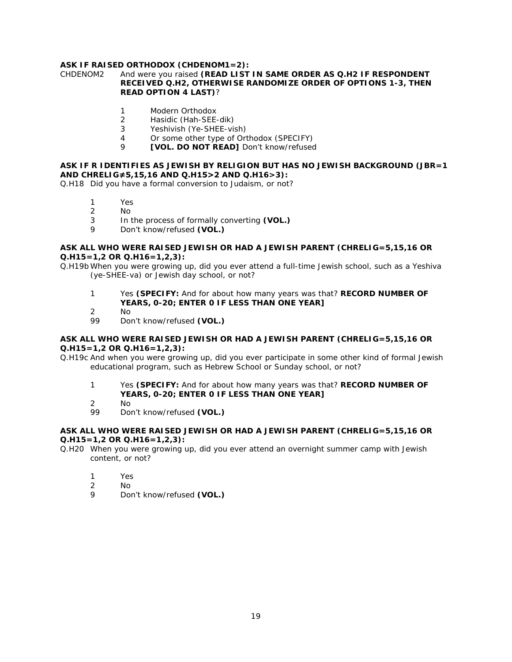## **ASK IF RAISED ORTHODOX (CHDENOM1=2):**

#### CHDENOM2 And were you raised **(READ LIST IN SAME ORDER AS Q.H2 IF RESPONDENT RECEIVED Q.H2, OTHERWISE RANDOMIZE ORDER OF OPTIONS 1-3, THEN READ OPTION 4 LAST)**?

- 1 Modern Orthodox
- 2 Hasidic (Hah-SEE-dik)<br>3 Yeshivish (Ye-SHFF-vis
- Yeshivish (Ye-SHEE-vish)
- 4 Or some other type of Orthodox (SPECIFY)<br>9 **CIVOL DO NOT READ1** Don't know/refused
- 9 **[VOL. DO NOT READ]** Don't know/refused

#### **ASK IF R IDENTIFIES AS JEWISH BY RELIGION BUT HAS NO JEWISH BACKGROUND (JBR=1 AND CHRELIG≠5,15,16 AND Q.H15>2 AND Q.H16>3):**

Q.H18 Did you have a formal conversion to Judaism, or not?

- 1 Yes<br>2 No
- $N<sub>0</sub>$
- 3 In the process of formally converting **(VOL.)**
- 9 Don't know/refused **(VOL.)**

#### **ASK ALL WHO WERE RAISED JEWISH OR HAD A JEWISH PARENT (CHRELIG=5,15,16 OR Q.H15=1,2 OR Q.H16=1,2,3):**

Q.H19b When you were growing up, did you ever attend a full-time Jewish school, such as a Yeshiva (ye-SHEE-va) or Jewish day school, or not?

- 1 Yes **(SPECIFY:** And for about how many years was that? **RECORD NUMBER OF YEARS, 0-20; ENTER 0 IF LESS THAN ONE YEAR]**
- 2 No<br>99 Dol
- Don't know/refused (VOL.)

#### **ASK ALL WHO WERE RAISED JEWISH OR HAD A JEWISH PARENT (CHRELIG=5,15,16 OR Q.H15=1,2 OR Q.H16=1,2,3):**

Q.H19c And when you were growing up, did you ever participate in some other kind of formal Jewish educational program, such as Hebrew School or Sunday school, or not?

- 1 Yes **(SPECIFY:** And for about how many years was that? **RECORD NUMBER OF YEARS, 0-20; ENTER 0 IF LESS THAN ONE YEAR]**
- 2 No
- Don't know/refused **(VOL.)**

#### **ASK ALL WHO WERE RAISED JEWISH OR HAD A JEWISH PARENT (CHRELIG=5,15,16 OR Q.H15=1,2 OR Q.H16=1,2,3):**

- Q.H20 When you were growing up, did you ever attend an overnight summer camp with Jewish content, or not?
	- 1 Yes
	- 2 No
	- 9 Don't know/refused **(VOL.)**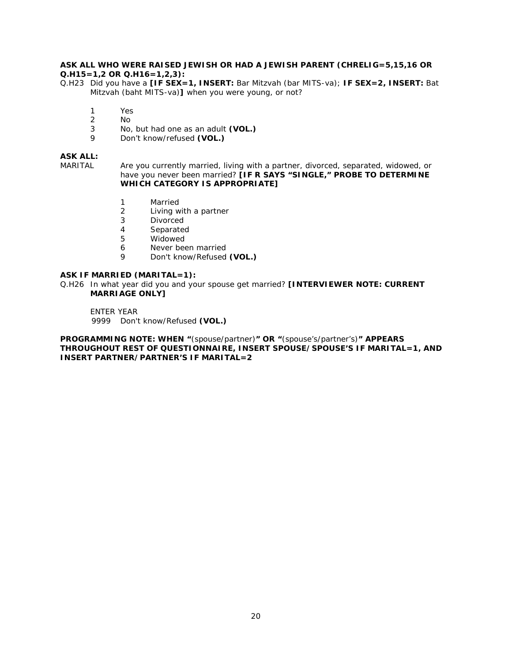#### **ASK ALL WHO WERE RAISED JEWISH OR HAD A JEWISH PARENT (CHRELIG=5,15,16 OR Q.H15=1,2 OR Q.H16=1,2,3):**

Q.H23 Did you have a **[IF SEX=1, INSERT:** Bar Mitzvah (bar MITS-va); **IF SEX=2, INSERT:** Bat Mitzvah (baht MITS-va)**]** when you were young, or not?

- 1 Yes
- 2 No.<br>3 No.
- 3 No, but had one as an adult **(VOL.)**
- 9 Don't know/refused **(VOL.)**

## **ASK ALL:**

MARITAL Are you currently married, living with a partner, divorced, separated, widowed, or have you never been married? **[IF R SAYS "SINGLE," PROBE TO DETERMINE WHICH CATEGORY IS APPROPRIATE]** 

- 1 Married<br>2 Living w
- 2 Living with a partner<br>3 Divorced
- **Divorced**
- 4 Separated<br>5 Widowed
- **Widowed**
- 6 Never been married<br>9 Don't know/Refused
- 9 Don't know/Refused **(VOL.)**

#### **ASK IF MARRIED (MARITAL=1):**

Q.H26 In what year did you and your spouse get married? **[INTERVIEWER NOTE: CURRENT MARRIAGE ONLY]** 

ENTER YEAR 9999 Don't know/Refused **(VOL.)**

**PROGRAMMING NOTE: WHEN "**(spouse/partner)**" OR "**(spouse's/partner's)**" APPEARS THROUGHOUT REST OF QUESTIONNAIRE, INSERT SPOUSE/SPOUSE'S IF MARITAL=1, AND INSERT PARTNER/PARTNER'S IF MARITAL=2**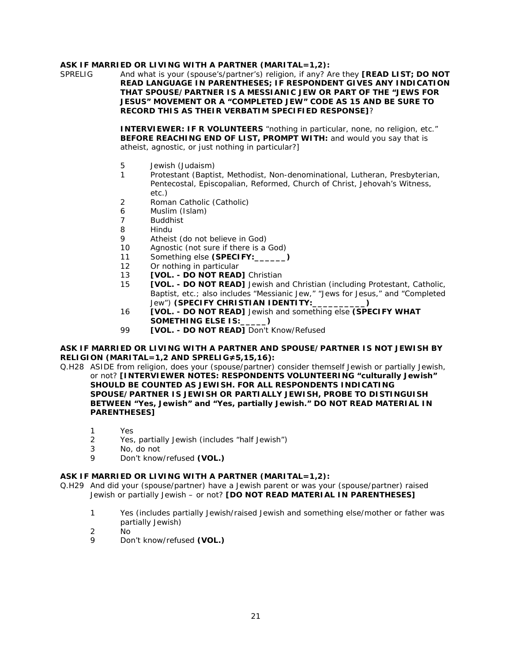## **ASK IF MARRIED OR LIVING WITH A PARTNER (MARITAL=1,2):**

SPRELIG And what is your (spouse's/partner's) religion, if any? Are they **[READ LIST; DO NOT READ LANGUAGE IN PARENTHESES; IF RESPONDENT GIVES ANY INDICATION THAT SPOUSE/PARTNER IS A MESSIANIC JEW OR PART OF THE "JEWS FOR JESUS" MOVEMENT OR A "COMPLETED JEW" CODE AS 15 AND BE SURE TO RECORD THIS AS THEIR VERBATIM SPECIFIED RESPONSE]**?

> **INTERVIEWER: IF R VOLUNTEERS** "nothing in particular, none, no religion, etc." **BEFORE REACHING END OF LIST, PROMPT WITH:** and would you say that is atheist, agnostic, or just nothing in particular?]

- 5 Jewish (Judaism)
- 1 Protestant (Baptist, Methodist, Non-denominational, Lutheran, Presbyterian, Pentecostal, Episcopalian, Reformed, Church of Christ, Jehovah's Witness, etc.)
- 2 Roman Catholic (Catholic)
- 6 Muslim (Islam)<br>7 Buddhist
- **Buddhist**
- 8 Hindu
- 9 Atheist (do not believe in God)
- 10 Agnostic (not sure if there is a God)
- 11 Something else **(SPECIFY:\_\_\_\_\_\_)**
- 12 Or nothing in particular
- 13 **[VOL. - DO NOT READ]** Christian
- 15 **[VOL. - DO NOT READ]** Jewish and Christian (including Protestant, Catholic, Baptist, etc.; also includes "Messianic Jew," "Jews for Jesus," and "Completed Jew") **(SPECIFY CHRISTIAN IDENTITY:\_\_\_\_\_\_\_\_\_\_)**
- 16 **[VOL. - DO NOT READ]** Jewish and something else **(SPECIFY WHAT SOMETHING ELSE IS:\_\_\_\_\_)**
- 99 **[VOL. - DO NOT READ]** Don't Know/Refused

#### **ASK IF MARRIED OR LIVING WITH A PARTNER AND SPOUSE/PARTNER IS NOT JEWISH BY RELIGION (MARITAL=1,2 AND SPRELIG≠5,15,16):**

Q.H28 ASIDE from religion, does your (spouse/partner) consider themself Jewish or partially Jewish, or not? **[INTERVIEWER NOTES: RESPONDENTS VOLUNTEERING "culturally Jewish" SHOULD BE COUNTED AS JEWISH. FOR ALL RESPONDENTS INDICATING SPOUSE/PARTNER IS JEWISH OR PARTIALLY JEWISH, PROBE TO DISTINGUISH BETWEEN "Yes, Jewish" and "Yes, partially Jewish." DO NOT READ MATERIAL IN PARENTHESES]**

- 1 Yes
- 2 Yes, partially Jewish (includes "half Jewish")
- 3 No, do not
- 9 Don't know/refused **(VOL.)**

#### **ASK IF MARRIED OR LIVING WITH A PARTNER (MARITAL=1,2):**

- Q.H29 And did your (spouse/partner) have a Jewish parent or was your (spouse/partner) raised Jewish or partially Jewish – or not? **[DO NOT READ MATERIAL IN PARENTHESES]**
	- 1 Yes (includes partially Jewish/raised Jewish and something else/mother or father was partially Jewish)
	- 2 No
	- 9 Don't know/refused **(VOL.)**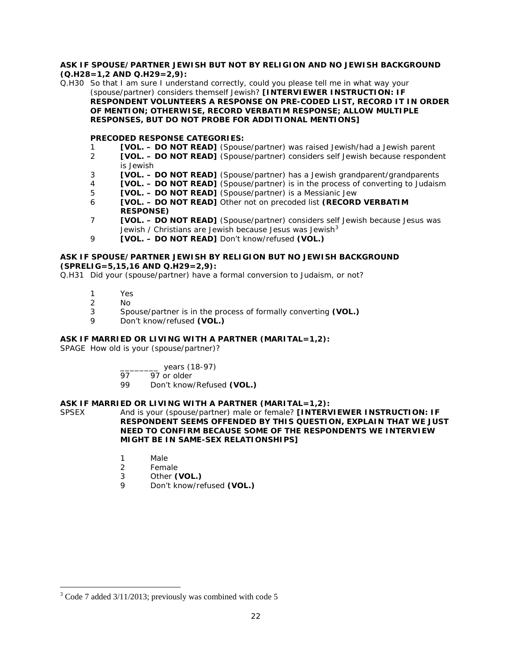#### **ASK IF SPOUSE/PARTNER JEWISH BUT NOT BY RELIGION AND NO JEWISH BACKGROUND (Q.H28=1,2 AND Q.H29=2,9):**

Q.H30 So that I am sure I understand correctly, could you please tell me in what way your (spouse/partner) considers themself Jewish? **[INTERVIEWER INSTRUCTION: IF RESPONDENT VOLUNTEERS A RESPONSE ON PRE-CODED LIST, RECORD IT IN ORDER OF MENTION; OTHERWISE, RECORD VERBATIM RESPONSE; ALLOW MULTIPLE RESPONSES, BUT DO NOT PROBE FOR ADDITIONAL MENTIONS]** 

## **PRECODED RESPONSE CATEGORIES:**

- 1 **[VOL. – DO NOT READ]** (Spouse/partner) was raised Jewish/had a Jewish parent
- 2 **[VOL. – DO NOT READ]** (Spouse/partner) considers self Jewish because respondent is Jewish
- 3 **[VOL. – DO NOT READ]** (Spouse/partner) has a Jewish grandparent/grandparents
- 4 **[VOL. – DO NOT READ]** (Spouse/partner) is in the process of converting to Judaism
- 5 **[VOL. – DO NOT READ]** (Spouse/partner) is a Messianic Jew
- 6 **[VOL. – DO NOT READ]** Other not on precoded list **(RECORD VERBATIM RESPONSE)**
- 7 **[VOL. – DO NOT READ]** (Spouse/partner) considers self Jewish because Jesus was Jewish / Christians are Jewish because Jesus was Jewish $3$
- 9 **[VOL. – DO NOT READ]** Don't know/refused **(VOL.)**

## **ASK IF SPOUSE/PARTNER JEWISH BY RELIGION BUT NO JEWISH BACKGROUND (SPRELIG=5,15,16 AND Q.H29=2,9):**

Q.H31 Did your (spouse/partner) have a formal conversion to Judaism, or not?

- 1 Yes<br>2 No
- $\frac{2}{3}$  No
- 3 Spouse/partner is in the process of formally converting **(VOL.)**
- 9 Don't know/refused **(VOL.)**

## **ASK IF MARRIED OR LIVING WITH A PARTNER (MARITAL=1,2):**

SPAGE How old is your (spouse/partner)?

- \_\_\_\_\_\_\_\_ years (18-97)
- 97 97 or older
- 99 Don't know/Refused **(VOL.)**

## **ASK IF MARRIED OR LIVING WITH A PARTNER (MARITAL=1,2):**

SPSEX And is your (spouse/partner) male or female? **[INTERVIEWER INSTRUCTION: IF RESPONDENT SEEMS OFFENDED BY THIS QUESTION, EXPLAIN THAT WE JUST NEED TO CONFIRM BECAUSE SOME OF THE RESPONDENTS WE INTERVIEW MIGHT BE IN SAME-SEX RELATIONSHIPS]**

- 1 Male
- 2 Female
- 3 Other **(VOL.)**
- 9 Don't know/refused **(VOL.)**

<span id="page-21-0"></span> $3^3$  Code 7 added 3/11/2013; previously was combined with code 5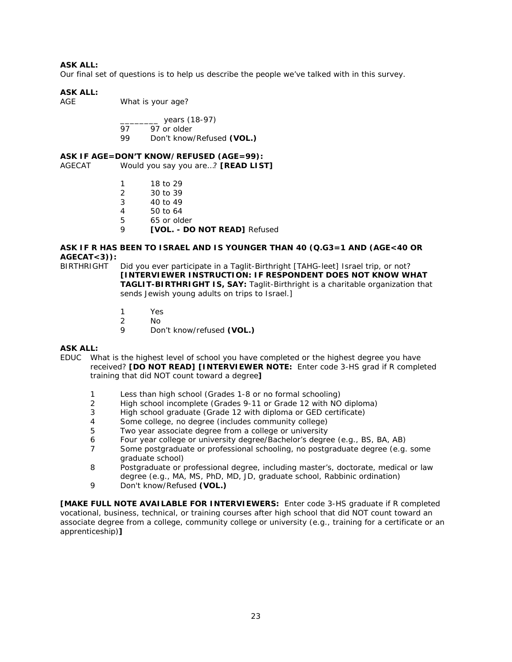Our final set of questions is to help us describe the people we've talked with in this survey.

## **ASK ALL:**

AGE What is your age?

$$
27 \text{ years} (18-97)
$$

- 97 97 or older<br>99 Don't know
- 99 Don't know/Refused **(VOL.)**

### **ASK IF AGE=DON'T KNOW/REFUSED (AGE=99):**

AGECAT Would you say you are…? **[READ LIST]**

- 1 18 to 29<br>2 30 to 39
- 2 30 to 39<br>3 40 to 49
- 40 to 49
- 4 50 to 64<br>5 65 or old
- 5 65 or older
- 9 **[VOL. - DO NOT READ]** Refused

#### **ASK IF R HAS BEEN TO ISRAEL AND IS YOUNGER THAN 40 (Q.G3=1 AND (AGE<40 OR AGECAT<3)):**

- BIRTHRIGHT Did you ever participate in a Taglit-Birthright [TAHG-leet] Israel trip, or not? **[INTERVIEWER INSTRUCTION: IF RESPONDENT DOES NOT KNOW WHAT TAGLIT-BIRTHRIGHT IS, SAY:** Taglit-Birthright is a charitable organization that sends Jewish young adults on trips to Israel.]
	- 1 Yes
	- 2 No<br>9 Dou
	- 9 Don't know/refused **(VOL.)**

## **ASK ALL:**

- EDUC What is the highest level of school you have completed or the highest degree you have received? **[DO NOT READ] [INTERVIEWER NOTE:** Enter code 3-HS grad if R completed training that did NOT count toward a degree**]**
	- 1 Less than high school (Grades 1-8 or no formal schooling)
	- 2 High school incomplete (Grades 9-11 or Grade 12 with NO diploma)
	- 3 High school graduate (Grade 12 with diploma or GED certificate)
	- 4 Some college, no degree (includes community college)
	- 5 Two year associate degree from a college or university
	- 6 Four year college or university degree/Bachelor's degree (e.g., BS, BA, AB)
	- 7 Some postgraduate or professional schooling, no postgraduate degree (e.g. some graduate school)
	- 8 Postgraduate or professional degree, including master's, doctorate, medical or law degree (e.g., MA, MS, PhD, MD, JD, graduate school, Rabbinic ordination)
	- 9 Don't know/Refused **(VOL.)**

**[MAKE FULL NOTE AVAILABLE FOR INTERVIEWERS:** Enter code 3-HS graduate if R completed vocational, business, technical, or training courses after high school that did NOT count toward an associate degree from a college, community college or university (e.g., training for a certificate or an apprenticeship)**]**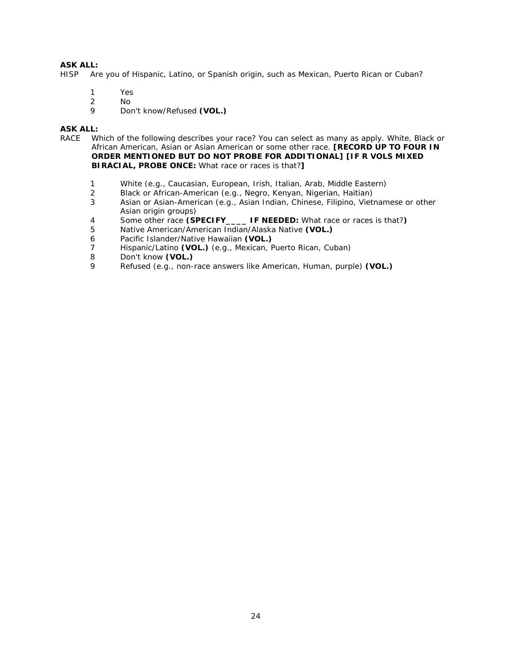HISP Are you of Hispanic, Latino, or Spanish origin, such as Mexican, Puerto Rican or Cuban?

- 1 Yes
- 2 No<br>9 Do
- 9 Don't know/Refused **(VOL.)**

## **ASK ALL:**

- RACE Which of the following describes your race? You can select as many as apply. White, Black or African American, Asian or Asian American or some other race. **[RECORD UP TO FOUR IN ORDER MENTIONED BUT DO NOT PROBE FOR ADDITIONAL] [IF R VOLS MIXED BIRACIAL, PROBE ONCE:** What race or races is that?**]**
	- 1 White (e.g., Caucasian, European, Irish, Italian, Arab, Middle Eastern)<br>2 Black or African-American (e.g., Negro, Kenyan, Nigerian, Haitian)
	- Black or African-American (e.g., Negro, Kenyan, Nigerian, Haitian)
	- 3 Asian or Asian-American (e.g., Asian Indian, Chinese, Filipino, Vietnamese or other Asian origin groups)
	- 4 Some other race **(SPECIFY\_\_\_\_ IF NEEDED:** What race or races is that?**)**
	- 5 Native American/American Indian/Alaska Native **(VOL.)**
	- 6 Pacific Islander/Native Hawaiian **(VOL.)**
	- 7 Hispanic/Latino **(VOL.)** (e.g., Mexican, Puerto Rican, Cuban)
	- 8 Don't know **(VOL.)**
	- 9 Refused (e.g., non-race answers like American, Human, purple) **(VOL.)**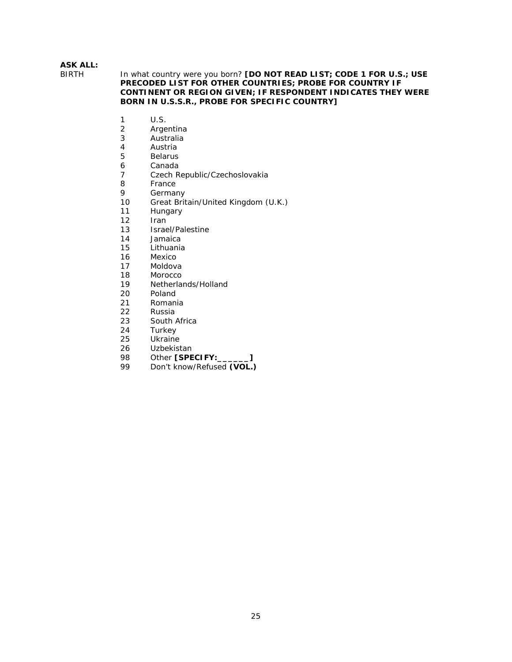#### In what country were you born? **[DO NOT READ LIST; CODE 1 FOR U.S.; USE PRECODED LIST FOR OTHER COUNTRIES; PROBE FOR COUNTRY IF CONTINENT OR REGION GIVEN; IF RESPONDENT INDICATES THEY WERE BORN IN U.S.S.R., PROBE FOR SPECIFIC COUNTRY]**

- 1 U.S.<br>2 Arge
- 2 Argentina<br>3 Australia
- 3 Australia
- 4 Austria<br>5 Belarus
- **Belarus**
- 6 Canada<br>7 Czech R
- 7 Czech Republic/Czechoslovakia
- 8 France<br>9 Germai
- 9 Germany<br>10 Great Brit
- 10 Great Britain/United Kingdom (U.K.)<br>11 Hungary
- 11 Hungary<br>12 Iran
- Iran
- 13 Israel/Palestine<br>14 Jamaica
- 14 Jamaica<br>15 Lithuania
- 15 Lithuania<br>16 Mexico
- 16 Mexico<br>17 Moldov
- 17 Moldova<br>18 Morocco
- 18 Morocco<br>19 Netherla
- Netherlands/Holland
- 20 Poland<br>21 Roman
- **Romania**
- 22 Russia<br>23 South
- 23 South Africa<br>24 Turkey
- **Turkey**
- 25 Ukraine
- 26 Uzbekistan
- 98 Other **[SPECIFY:** 199 Don't know/Refused **(VOL.**)
- Don't know/Refused **(VOL.)**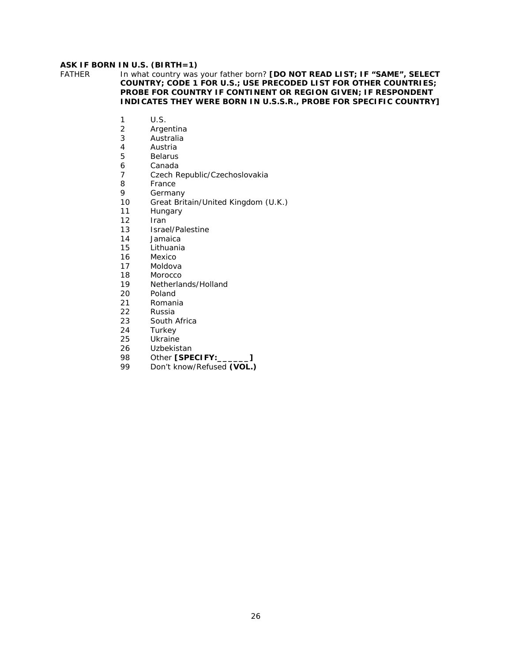# **ASK IF BORN IN U.S. (BIRTH=1)**<br>FATHER In what country was

In what country was your father born? **[DO NOT READ LIST; IF "SAME", SELECT COUNTRY; CODE 1 FOR U.S.; USE PRECODED LIST FOR OTHER COUNTRIES; PROBE FOR COUNTRY IF CONTINENT OR REGION GIVEN; IF RESPONDENT INDICATES THEY WERE BORN IN U.S.S.R., PROBE FOR SPECIFIC COUNTRY]** 

- 1 U.S.<br>2 Arge
- 2 Argentina<br>3 Australia
- 3 Australia
- 4 Austria<br>5 Belarus
- **Belarus**
- 6 Canada<br>7 Czech R
- 7 Czech Republic/Czechoslovakia
- 8 France<br>9 Germai
- 9 Germany<br>10 Great Brit
- Great Britain/United Kingdom (U.K.)
- 11 Hungary<br>12 Iran
- Iran
- 13 Israel/Palestine<br>14 Jamaica
- 14 Jamaica<br>15 Lithuania
- 15 Lithuania<br>16 Mexico
- 16 Mexico<br>17 Moldov
- 17 Moldova<br>18 Morocco
- 18 Morocco<br>19 Netherla
- Netherlands/Holland
- 20 Poland<br>21 Roman
- **Romania**
- 22 Russia<br>23 South
- 23 South Africa<br>24 Turkey
- **Turkey**
- 25 Ukraine
- 26 Uzbekistan
- 98 Other **[SPECIFY:**<br>99 Don't know/Refused (VOL.)
- Don't know/Refused **(VOL.)**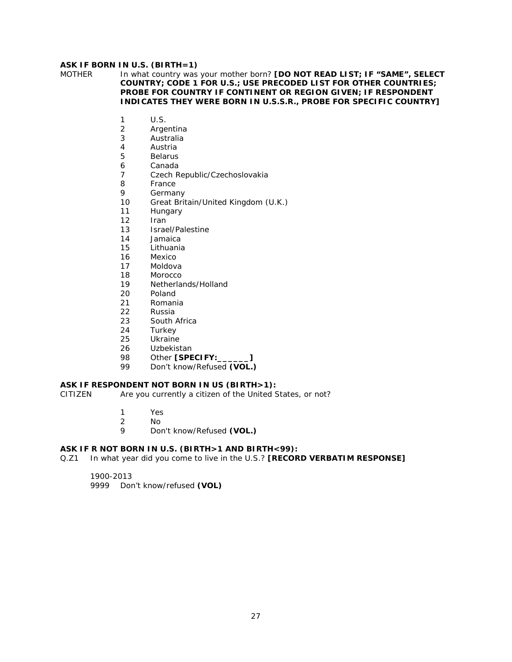## **ASK IF BORN IN U.S. (BIRTH=1)**

MOTHER In what country was your mother born? **[DO NOT READ LIST; IF "SAME", SELECT COUNTRY; CODE 1 FOR U.S.; USE PRECODED LIST FOR OTHER COUNTRIES; PROBE FOR COUNTRY IF CONTINENT OR REGION GIVEN; IF RESPONDENT INDICATES THEY WERE BORN IN U.S.S.R., PROBE FOR SPECIFIC COUNTRY]** 

- 1 U.S.<br>2 Arge
- 2 Argentina<br>3 Australia
- 3 Australia
- 4 Austria<br>5 Belarus
- **Belarus**
- 6 Canada<br>7 Czech R
- Czech Republic/Czechoslovakia
- 8 France<br>9 Germai
- **Germany**
- 10 Great Britain/United Kingdom (U.K.)
- 11 Hungary
- 12 Iran
- 13 Israel/Palestine<br>14 Jamaica
- **Jamaica**
- 15 Lithuania<br>16 Mexico
- 16 Mexico<br>17 Moldov
- Moldova
- 18 Morocco<br>19 Netherla
- Netherlands/Holland
- 20 Poland<br>21 Roman
- **Romania**
- 22 Russia
- 23 South Africa<br>24 Turkey
- **Turkey**
- 25 Ukraine
- 26 Uzbekistan
- 98 Other **[SPECIFY:\_\_\_\_\_\_]**
- 99 Don't know/Refused **(VOL.)**

## **ASK IF RESPONDENT NOT BORN IN US (BIRTH>1):**

CITIZEN Are you currently a citizen of the United States, or not?

- - 1 Yes
	- 2 No
	- 9 Don't know/Refused **(VOL.)**

## **ASK IF R NOT BORN IN U.S. (BIRTH>1 AND BIRTH<99):**

Q.Z1 In what year did you come to live in the U.S.? **[RECORD VERBATIM RESPONSE]** 

1900-2013 9999 Don't know/refused **(VOL)**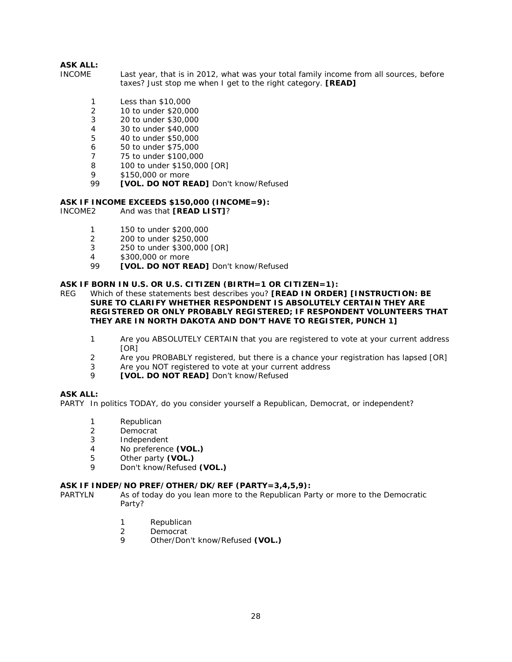- INCOME Last year, that is in 2012, what was your total family income from all sources, before taxes? Just stop me when I get to the right category. **[READ]** 
	- 1 Less than \$10,000<br>2 10 to under \$20.00
	- 2 10 to under \$20,000
	- 3 20 to under \$30,000<br>4 30 to under \$40,000
	- 4 30 to under \$40,000
	- 5 40 to under \$50,000
	- 6 50 to under \$75,000
	- 7 75 to under \$100,000
	- 8 100 to under \$150,000 [OR]
	- 9 \$150,000 or more
	- 99 **[VOL. DO NOT READ]** Don't know/Refused

# **ASK IF INCOME EXCEEDS \$150,000 (INCOME=9):**<br>INCOME2 And was that **IREAD LIST1**?

And was that **[READ LIST]**?

- 1 150 to under \$200,000
- 2 200 to under \$250,000
- 3 250 to under \$300,000 [OR]<br>4 \$300,000 or more
- 4 \$300,000 or more<br>99 **IVOL DO NOT RE**
- 99 **[VOL. DO NOT READ]** Don't know/Refused

## **ASK IF BORN IN U.S. OR U.S. CITIZEN (BIRTH=1 OR CITIZEN=1):**

- REG Which of these statements best describes you? **[READ IN ORDER] [INSTRUCTION: BE SURE TO CLARIFY WHETHER RESPONDENT IS ABSOLUTELY CERTAIN THEY ARE REGISTERED OR ONLY PROBABLY REGISTERED; IF RESPONDENT VOLUNTEERS THAT THEY ARE IN NORTH DAKOTA AND DON'T HAVE TO REGISTER, PUNCH 1]** 
	- 1 Are you ABSOLUTELY CERTAIN that you are registered to vote at your current address [OR]
	- 2 Are you PROBABLY registered, but there is a chance your registration has lapsed [OR]
	- 3 Are you NOT registered to vote at your current address
	- 9 **[VOL. DO NOT READ]** Don't know/Refused

#### **ASK ALL:**

PARTY In politics TODAY, do you consider yourself a Republican, Democrat, or independent?

- 1 Republican
- 2 Democrat
- 3 Independent
- 4 No preference **(VOL.)**
- 5 Other party **(VOL.)**
- 9 Don't know/Refused **(VOL.)**

#### **ASK IF INDEP/NO PREF/OTHER/DK/REF (PARTY=3,4,5,9):**

PARTYLN As of today do you lean more to the Republican Party or more to the Democratic Party?

- 1 Republican
- 2 Democrat
- 9 Other/Don't know/Refused **(VOL.)**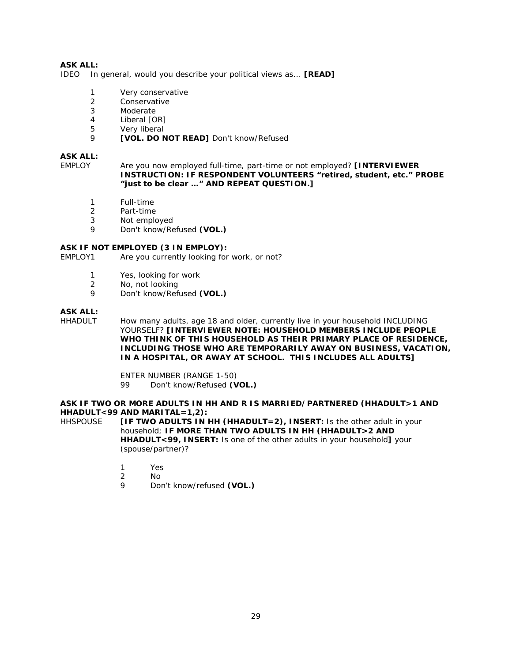IDEO In general, would you describe your political views as... **[READ]** 

- 1 Very conservative
- 2 Conservative<br>3 Moderate
- **Moderate**
- 4 Liberal [OR]<br>5 Verv liberal
- Very liberal
- 9 **[VOL. DO NOT READ]** Don't know/Refused

#### **ASK ALL:**

EMPLOY Are you now employed full-time, part-time or not employed? **[INTERVIEWER INSTRUCTION: IF RESPONDENT VOLUNTEERS "retired, student, etc." PROBE "just to be clear …" AND REPEAT QUESTION.]** 

- 1 Full-time<br>2 Part-time
- 2 Part-time<br>3 Not emplo
- Not employed
- 9 Don't know/Refused **(VOL.)**

## **ASK IF NOT EMPLOYED (3 IN EMPLOY):**<br>EMPLOY1 Are you currently looking for

Are you currently looking for work, or not?

- 1 Yes, looking for work
- 2 No, not looking
- 9 Don't know/Refused **(VOL.)**

## **ASK ALL:**

How many adults, age 18 and older, currently live in your household INCLUDING YOURSELF? **[INTERVIEWER NOTE: HOUSEHOLD MEMBERS INCLUDE PEOPLE WHO THINK OF THIS HOUSEHOLD AS THEIR PRIMARY PLACE OF RESIDENCE, INCLUDING THOSE WHO ARE TEMPORARILY AWAY ON BUSINESS, VACATION, IN A HOSPITAL, OR AWAY AT SCHOOL. THIS INCLUDES ALL ADULTS]** 

> ENTER NUMBER (RANGE 1-50) 99 Don't know/Refused **(VOL.)**

#### **ASK IF TWO OR MORE ADULTS IN HH AND R IS MARRIED/PARTNERED (HHADULT>1 AND HHADULT<99 AND MARITAL=1,2):**

HHSPOUSE **[IF TWO ADULTS IN HH (HHADULT=2), INSERT:** Is the other adult in your household; **IF MORE THAN TWO ADULTS IN HH (HHADULT>2 AND HHADULT<99, INSERT:** Is one of the other adults in your household**]** your (spouse/partner)?

- 1 Yes
- 2 No
- 9 Don't know/refused **(VOL.)**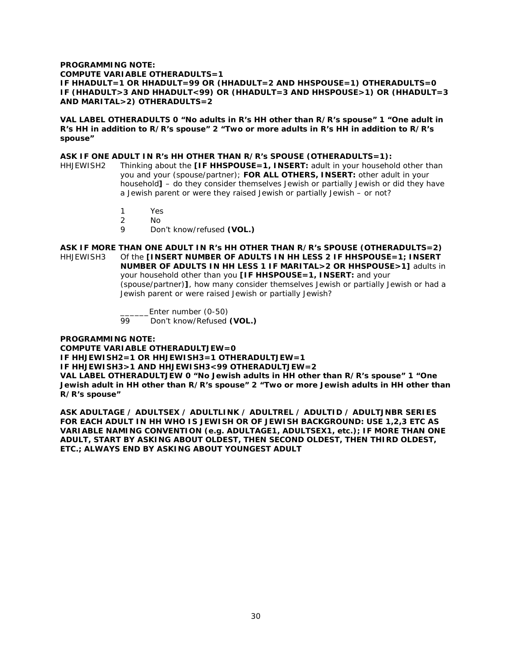#### **PROGRAMMING NOTE: COMPUTE VARIABLE OTHERADULTS=1 IF HHADULT=1 OR HHADULT=99 OR (HHADULT=2 AND HHSPOUSE=1) OTHERADULTS=0 IF (HHADULT>3 AND HHADULT<99) OR (HHADULT=3 AND HHSPOUSE>1) OR (HHADULT=3 AND MARITAL>2) OTHERADULTS=2**

**VAL LABEL OTHERADULTS 0 "No adults in R's HH other than R/R's spouse" 1 "One adult in R's HH in addition to R/R's spouse" 2 "Two or more adults in R's HH in addition to R/R's spouse"**

#### **ASK IF ONE ADULT IN R's HH OTHER THAN R/R's SPOUSE (OTHERADULTS=1):**

- HHJEWISH2 Thinking about the **[IF HHSPOUSE=1, INSERT:** adult in your household other than you and your (spouse/partner); **FOR ALL OTHERS, INSERT:** other adult in your household**]** – do they consider themselves Jewish or partially Jewish or did they have a Jewish parent or were they raised Jewish or partially Jewish – or not?
	- 1 Yes<br>2 No
	- No
	- 9 Don't know/refused **(VOL.)**

**ASK IF MORE THAN ONE ADULT IN R's HH OTHER THAN R/R's SPOUSE (OTHERADULTS=2)** Of the **[INSERT NUMBER OF ADULTS IN HH LESS 2 IF HHSPOUSE=1; INSERT NUMBER OF ADULTS IN HH LESS 1 IF MARITAL>2 OR HHSPOUSE>1]** adults in your household other than you **[IF HHSPOUSE=1, INSERT:** and your (spouse/partner)**]**, how many consider themselves Jewish or partially Jewish or had a Jewish parent or were raised Jewish or partially Jewish?

> \_\_\_\_\_\_\_\_\_Enter number (0-50)<br>99 Don't know/Refused Don't know/Refused (VOL.)

**PROGRAMMING NOTE:** 

**COMPUTE VARIABLE OTHERADULTJEW=0 IF HHJEWISH2=1 OR HHJEWISH3=1 OTHERADULTJEW=1 IF HHJEWISH3>1 AND HHJEWISH3<99 OTHERADULTJEW=2 VAL LABEL OTHERADULTJEW 0 "No Jewish adults in HH other than R/R's spouse" 1 "One Jewish adult in HH other than R/R's spouse" 2 "Two or more Jewish adults in HH other than R/R's spouse"**

**ASK ADULTAGE / ADULTSEX / ADULTLINK / ADULTREL / ADULTID / ADULTJNBR SERIES FOR EACH ADULT IN HH WHO IS JEWISH OR OF JEWISH BACKGROUND: USE 1,2,3 ETC AS VARIABLE NAMING CONVENTION (e.g. ADULTAGE1, ADULTSEX1, etc.); IF MORE THAN ONE ADULT, START BY ASKING ABOUT OLDEST, THEN SECOND OLDEST, THEN THIRD OLDEST, ETC.; ALWAYS END BY ASKING ABOUT YOUNGEST ADULT**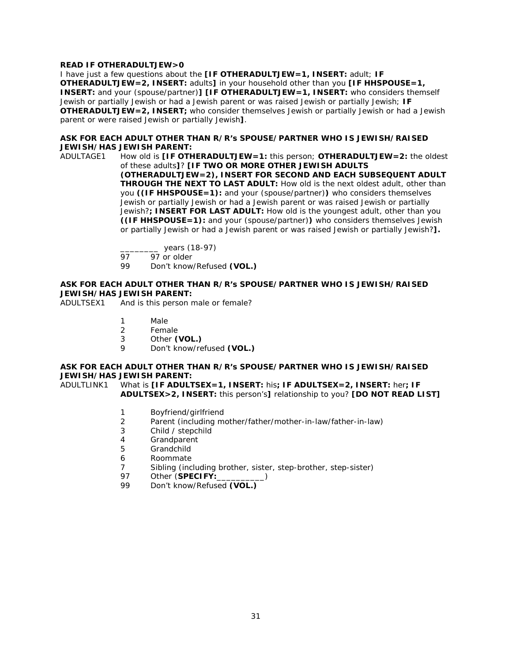#### **READ IF OTHERADULTJEW>0**

I have just a few questions about the **[IF OTHERADULTJEW=1, INSERT:** adult; **IF OTHERADULTJEW=2, INSERT:** adults**]** in your household other than you **[IF HHSPOUSE=1, INSERT:** and your (spouse/partner)**] [IF OTHERADULTJEW=1, INSERT:** who considers themself Jewish or partially Jewish or had a Jewish parent or was raised Jewish or partially Jewish; **IF OTHERADULTJEW=2, INSERT;** who consider themselves Jewish or partially Jewish or had a Jewish parent or were raised Jewish or partially Jewish**]**.

#### **ASK FOR EACH ADULT OTHER THAN R/R's SPOUSE/PARTNER WHO IS JEWISH/RAISED JEWISH/HAS JEWISH PARENT:**

ADULTAGE1 How old is **[IF OTHERADULTJEW=1:** this person; **OTHERADULTJEW=2:** the oldest of these adults**]**? **[IF TWO OR MORE OTHER JEWISH ADULTS (OTHERADULTJEW=2), INSERT FOR SECOND AND EACH SUBSEQUENT ADULT THROUGH THE NEXT TO LAST ADULT:** How old is the next oldest adult, other than you **((IF HHSPOUSE=1):** and your (spouse/partner)**)** who considers themselves Jewish or partially Jewish or had a Jewish parent or was raised Jewish or partially Jewish?**; INSERT FOR LAST ADULT:** How old is the youngest adult, other than you **((IF HHSPOUSE=1):** and your (spouse/partner)**)** who considers themselves Jewish or partially Jewish or had a Jewish parent or was raised Jewish or partially Jewish?**].**

 $\frac{1}{97}$  years (18-97)

97 97 or older<br>99 Don't know

Don't know/Refused (VOL.)

#### **ASK FOR EACH ADULT OTHER THAN R/R's SPOUSE/PARTNER WHO IS JEWISH/RAISED JEWISH/HAS JEWISH PARENT:**

ADULTSEX1 And is this person male or female?

- 1 Male<br>2 Fema
- **Female**
- 3 Other **(VOL.)**
- 9 Don't know/refused **(VOL.)**

#### **ASK FOR EACH ADULT OTHER THAN R/R's SPOUSE/PARTNER WHO IS JEWISH/RAISED JEWISH/HAS JEWISH PARENT:**

ADULTLINK1 What is **[IF ADULTSEX=1, INSERT:** his**; IF ADULTSEX=2, INSERT:** her**; IF ADULTSEX>2, INSERT:** this person's**]** relationship to you? **[DO NOT READ LIST]**

- 1 Boyfriend/girlfriend
- 2 Parent (including mother/father/mother-in-law/father-in-law)
- 3 Child / stepchild
- 4 Grandparent
- 5 Grandchild
- 6 Roommate
- 7 Sibling (including brother, sister, step-brother, step-sister)
- 97 Other (**SPECIFY:**
- 99 Don't know/Refused **(VOL.)**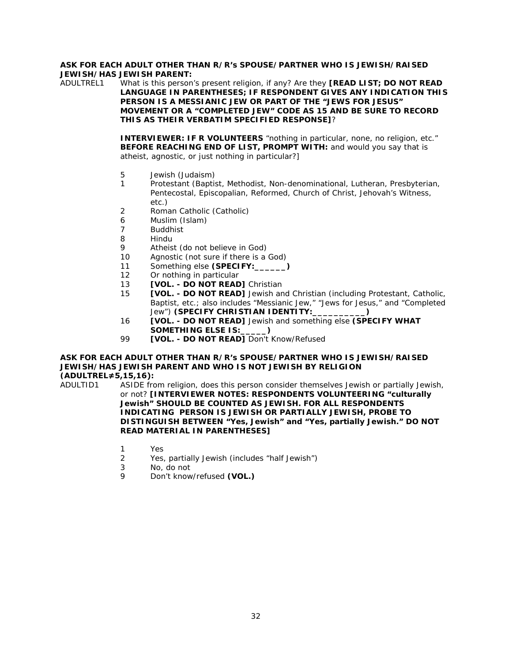#### **ASK FOR EACH ADULT OTHER THAN R/R's SPOUSE/PARTNER WHO IS JEWISH/RAISED JEWISH/HAS JEWISH PARENT:**

ADULTREL1 What is this person's present religion, if any? Are they **[READ LIST; DO NOT READ LANGUAGE IN PARENTHESES; IF RESPONDENT GIVES ANY INDICATION THIS PERSON IS A MESSIANIC JEW OR PART OF THE "JEWS FOR JESUS" MOVEMENT OR A "COMPLETED JEW" CODE AS 15 AND BE SURE TO RECORD THIS AS THEIR VERBATIM SPECIFIED RESPONSE]**?

> **INTERVIEWER: IF R VOLUNTEERS** "nothing in particular, none, no religion, etc." **BEFORE REACHING END OF LIST, PROMPT WITH:** and would you say that is atheist, agnostic, or just nothing in particular?]

- 5 Jewish (Judaism)
- 1 Protestant (Baptist, Methodist, Non-denominational, Lutheran, Presbyterian, Pentecostal, Episcopalian, Reformed, Church of Christ, Jehovah's Witness, etc.)
- 2 Roman Catholic (Catholic)
- 6 Muslim (Islam)
- 7 Buddhist<br>8 Hindu
- **Hindu**
- 9 Atheist (do not believe in God)<br>10 Agnostic (not sure if there is a
- Agnostic (not sure if there is a God)
- 11 Something else **(SPECIFY:\_\_\_\_\_\_)**
- 12 Or nothing in particular
- 13 **[VOL. - DO NOT READ]** Christian
- 15 **[VOL. - DO NOT READ]** Jewish and Christian (including Protestant, Catholic, Baptist, etc.; also includes "Messianic Jew," "Jews for Jesus," and "Completed Jew") **(SPECIFY CHRISTIAN IDENTITY:\_\_\_\_\_\_\_\_\_\_)**
- 16 **[VOL. - DO NOT READ]** Jewish and something else **(SPECIFY WHAT SOMETHING ELSE IS:\_\_\_\_\_)**
- 99 **[VOL. - DO NOT READ]** Don't Know/Refused

#### **ASK FOR EACH ADULT OTHER THAN R/R's SPOUSE/PARTNER WHO IS JEWISH/RAISED JEWISH/HAS JEWISH PARENT AND WHO IS NOT JEWISH BY RELIGION (ADULTREL≠5,15,16):**

- ADULTID1 ASIDE from religion, does this person consider themselves Jewish or partially Jewish, or not? **[INTERVIEWER NOTES: RESPONDENTS VOLUNTEERING "culturally Jewish" SHOULD BE COUNTED AS JEWISH. FOR ALL RESPONDENTS INDICATING PERSON IS JEWISH OR PARTIALLY JEWISH, PROBE TO DISTINGUISH BETWEEN "Yes, Jewish" and "Yes, partially Jewish." DO NOT READ MATERIAL IN PARENTHESES]**
	- 1 Yes<br>2 Yes.
	- Yes, partially Jewish (includes "half Jewish")
	- 3 No, do not
	- 9 Don't know/refused **(VOL.)**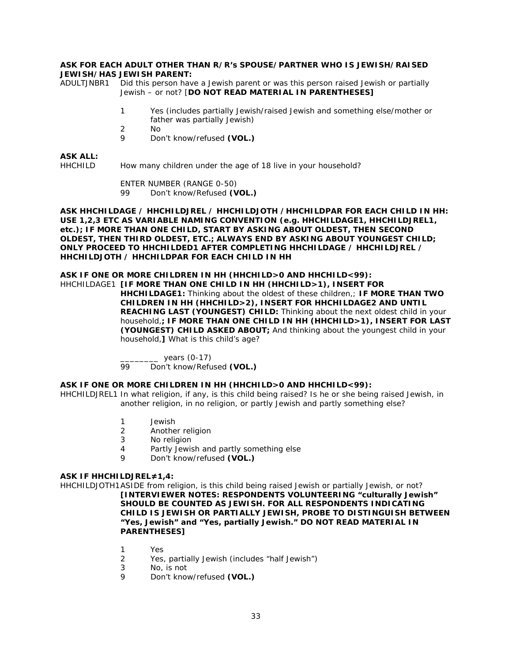#### **ASK FOR EACH ADULT OTHER THAN R/R's SPOUSE/PARTNER WHO IS JEWISH/RAISED JEWISH/HAS JEWISH PARENT:**

ADULTJNBR1 Did this person have a Jewish parent or was this person raised Jewish or partially Jewish – or not? [**DO NOT READ MATERIAL IN PARENTHESES]**

- 1 Yes (includes partially Jewish/raised Jewish and something else/mother or father was partially Jewish)
- 2 No
- 9 Don't know/refused **(VOL.)**

#### **ASK ALL:**

HHCHILD How many children under the age of 18 live in your household?

ENTER NUMBER (RANGE 0-50) 99 Don't know/Refused **(VOL.)**

**ASK HHCHILDAGE / HHCHILDJREL / HHCHILDJOTH /HHCHILDPAR FOR EACH CHILD IN HH: USE 1,2,3 ETC AS VARIABLE NAMING CONVENTION (e.g. HHCHILDAGE1, HHCHILDJREL1, etc.); IF MORE THAN ONE CHILD, START BY ASKING ABOUT OLDEST, THEN SECOND OLDEST, THEN THIRD OLDEST, ETC.; ALWAYS END BY ASKING ABOUT YOUNGEST CHILD; ONLY PROCEED TO HHCHILDED1 AFTER COMPLETING HHCHILDAGE / HHCHILDJREL / HHCHILDJOTH / HHCHILDPAR FOR EACH CHILD IN HH**

### **ASK IF ONE OR MORE CHILDREN IN HH (HHCHILD>0 AND HHCHILD<99):**

HHCHILDAGE1 **[IF MORE THAN ONE CHILD IN HH (HHCHILD>1), INSERT FOR HHCHILDAGE1:** Thinking about the oldest of these children,; **IF MORE THAN TWO CHILDREN IN HH (HHCHILD>2), INSERT FOR HHCHILDAGE2 AND UNTIL REACHING LAST (YOUNGEST) CHILD:** Thinking about the next oldest child in your household,**; IF MORE THAN ONE CHILD IN HH (HHCHILD>1), INSERT FOR LAST (YOUNGEST) CHILD ASKED ABOUT;** And thinking about the youngest child in your household,**]** What is this child's age?

> $\frac{1}{99}$  years (0-17) Don't know/Refused (VOL.)

## **ASK IF ONE OR MORE CHILDREN IN HH (HHCHILD>0 AND HHCHILD<99):**

HHCHILDJREL1 In what religion, if any, is this child being raised? Is he or she being raised Jewish, in another religion, in no religion, or partly Jewish and partly something else?

- 1 Jewish
- 2 Another religion
- 3 No religion
- 4 Partly Jewish and partly something else<br>9 Don't know/refused (VOL)
- 9 Don't know/refused **(VOL.)**

## **ASK IF HHCHILDJREL≠1,4:**

HHCHILDJOTH1ASIDE from religion, is this child being raised Jewish or partially Jewish, or not? **[INTERVIEWER NOTES: RESPONDENTS VOLUNTEERING "culturally Jewish" SHOULD BE COUNTED AS JEWISH. FOR ALL RESPONDENTS INDICATING CHILD IS JEWISH OR PARTIALLY JEWISH, PROBE TO DISTINGUISH BETWEEN "Yes, Jewish" and "Yes, partially Jewish." DO NOT READ MATERIAL IN PARENTHESES]**

- 1 Yes
- 2 Yes, partially Jewish (includes "half Jewish")
- 3 No, is not
- 9 Don't know/refused **(VOL.)**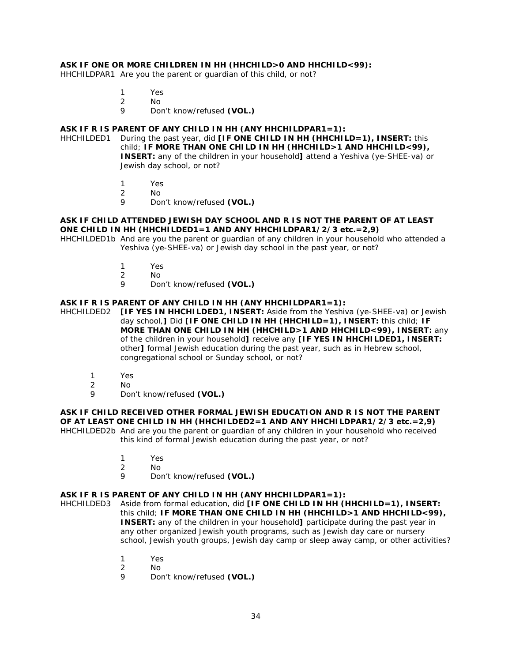#### **ASK IF ONE OR MORE CHILDREN IN HH (HHCHILD>0 AND HHCHILD<99):**

HHCHILDPAR1 Are you the parent or guardian of this child, or not?

- 1 Yes
- 2 No
- 9 Don't know/refused **(VOL.)**

## **ASK IF R IS PARENT OF ANY CHILD IN HH (ANY HHCHILDPAR1=1):**

HHCHILDED1 During the past year, did **[IF ONE CHILD IN HH (HHCHILD=1), INSERT:** this child; **IF MORE THAN ONE CHILD IN HH (HHCHILD>1 AND HHCHILD<99), INSERT:** any of the children in your household**]** attend a Yeshiva (ye-SHEE-va) or Jewish day school, or not?

- 1 Yes<br>2 No
- 2 No<br>9 Dou
- 9 Don't know/refused **(VOL.)**

#### **ASK IF CHILD ATTENDED JEWISH DAY SCHOOL AND R IS NOT THE PARENT OF AT LEAST ONE CHILD IN HH (HHCHILDED1=1 AND ANY HHCHILDPAR1/2/3 etc.=2,9)**

HHCHILDED1b And are you the parent or guardian of any children in your household who attended a Yeshiva (ye-SHEE-va) or Jewish day school in the past year, or not?

- 1 Yes<br>2 No
- 2 No
- 9 Don't know/refused **(VOL.)**

#### **ASK IF R IS PARENT OF ANY CHILD IN HH (ANY HHCHILDPAR1=1):**

HHCHILDED2 **[IF YES IN HHCHILDED1, INSERT:** Aside from the Yeshiva (ye-SHEE-va) or Jewish day school,**]** Did **[IF ONE CHILD IN HH (HHCHILD=1), INSERT:** this child; **IF MORE THAN ONE CHILD IN HH (HHCHILD>1 AND HHCHILD<99), INSERT:** any of the children in your household**]** receive any **[IF YES IN HHCHILDED1, INSERT:** other**]** formal Jewish education during the past year, such as in Hebrew school, congregational school or Sunday school, or not?

- 1 Yes
- 2 No
- 9 Don't know/refused **(VOL.)**

**ASK IF CHILD RECEIVED OTHER FORMAL JEWISH EDUCATION AND R IS NOT THE PARENT OF AT LEAST ONE CHILD IN HH (HHCHILDED2=1 AND ANY HHCHILDPAR1/2/3 etc.=2,9)** HHCHILDED2b And are you the parent or guardian of any children in your household who received this kind of formal Jewish education during the past year, or not?

- 1 Yes
- 2 No
- 9 Don't know/refused **(VOL.)**

#### **ASK IF R IS PARENT OF ANY CHILD IN HH (ANY HHCHILDPAR1=1):**

HHCHILDED3 Aside from formal education, did **[IF ONE CHILD IN HH (HHCHILD=1), INSERT:** this child; **IF MORE THAN ONE CHILD IN HH (HHCHILD>1 AND HHCHILD<99), INSERT:** any of the children in your household**]** participate during the past year in any other organized Jewish youth programs, such as Jewish day care or nursery school, Jewish youth groups, Jewish day camp or sleep away camp, or other activities?

- 1 Yes
- 2 No
- 9 Don't know/refused **(VOL.)**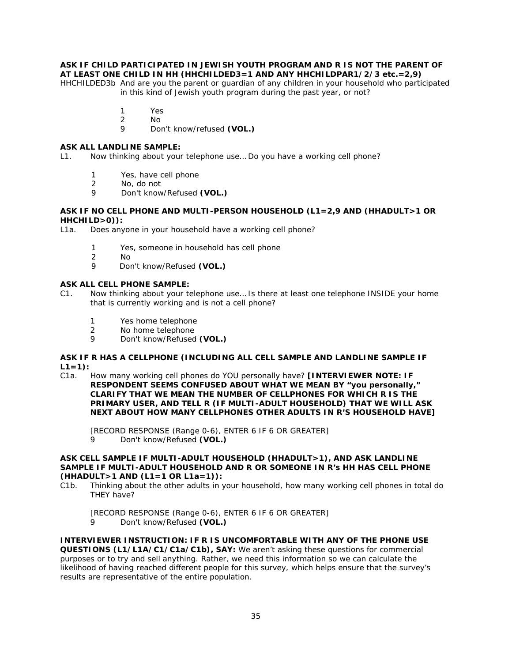## **ASK IF CHILD PARTICIPATED IN JEWISH YOUTH PROGRAM AND R IS NOT THE PARENT OF AT LEAST ONE CHILD IN HH (HHCHILDED3=1 AND ANY HHCHILDPAR1/2/3 etc.=2,9)**

HHCHILDED3b And are you the parent or guardian of any children in your household who participated in this kind of Jewish youth program during the past year, or not?

- 1 Yes
- 2 No
- 9 Don't know/refused **(VOL.)**

## **ASK ALL LANDLINE SAMPLE:**

L1. Now thinking about your telephone use… Do you have a working cell phone?

- 1 Yes, have cell phone
- 2 No, do not
- 9 Don't know/Refused **(VOL.)**

#### **ASK IF NO CELL PHONE AND MULTI-PERSON HOUSEHOLD (L1=2,9 AND (HHADULT>1 OR HHCHILD>0)):**

L1a. Does anyone in your household have a working cell phone?

- 1 Yes, someone in household has cell phone<br>2 No
- 2 No<br>9 Dot
- 9 Don't know/Refused **(VOL.)**

#### **ASK ALL CELL PHONE SAMPLE:**

- C1. Now thinking about your telephone use… Is there at least one telephone INSIDE your home that is currently working and is not a cell phone?
	- 1 Yes home telephone<br>2 No home telephone
	- No home telephone
	- 9 Don't know/Refused **(VOL.)**

#### **ASK IF R HAS A CELLPHONE (INCLUDING ALL CELL SAMPLE AND LANDLINE SAMPLE IF L1=1):**

C1a. How many working cell phones do YOU personally have? **[INTERVIEWER NOTE: IF RESPONDENT SEEMS CONFUSED ABOUT WHAT WE MEAN BY "you personally," CLARIFY THAT WE MEAN THE NUMBER OF CELLPHONES FOR WHICH R IS THE PRIMARY USER, AND TELL R (IF MULTI-ADULT HOUSEHOLD) THAT WE WILL ASK NEXT ABOUT HOW MANY CELLPHONES OTHER ADULTS IN R'S HOUSEHOLD HAVE]**

[RECORD RESPONSE (Range 0-6), ENTER 6 IF 6 OR GREATER] 9 Don't know/Refused **(VOL.)**

#### **ASK CELL SAMPLE IF MULTI-ADULT HOUSEHOLD (HHADULT>1), AND ASK LANDLINE SAMPLE IF MULTI-ADULT HOUSEHOLD AND R OR SOMEONE IN R's HH HAS CELL PHONE (HHADULT>1 AND (L1=1 OR L1a=1)):**

C1b. Thinking about the other adults in your household, how many working cell phones in total do THEY have?

[RECORD RESPONSE (Range 0-6), ENTER 6 IF 6 OR GREATER] 9 Don't know/Refused **(VOL.)**

**INTERVIEWER INSTRUCTION: IF R IS UNCOMFORTABLE WITH ANY OF THE PHONE USE QUESTIONS (L1/L1A/C1/C1a/C1b), SAY:** We aren't asking these questions for commercial purposes or to try and sell anything. Rather, we need this information so we can calculate the likelihood of having reached different people for this survey, which helps ensure that the survey's results are representative of the entire population.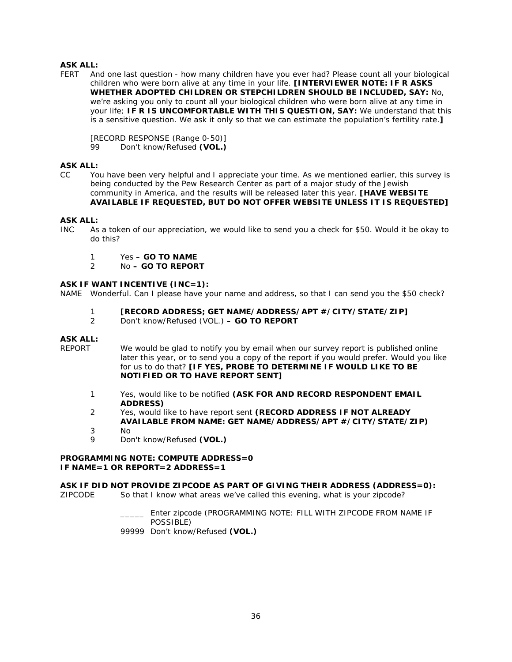FERT And one last question - how many children have you ever had? Please count all your biological children who were born alive at any time in your life. **[INTERVIEWER NOTE: IF R ASKS WHETHER ADOPTED CHILDREN OR STEPCHILDREN SHOULD BE INCLUDED, SAY:** No, we're asking you only to count all your biological children who were born alive at any time in your life; **IF R IS UNCOMFORTABLE WITH THIS QUESTION, SAY:** We understand that this is a sensitive question. We ask it only so that we can estimate the population's fertility rate.**]** 

[RECORD RESPONSE (Range 0-50)] 99 Don't know/Refused **(VOL.)**

## **ASK ALL:**

CC You have been very helpful and I appreciate your time. As we mentioned earlier, this survey is being conducted by the Pew Research Center as part of a major study of the Jewish community in America, and the results will be released later this year. **[HAVE WEBSITE AVAILABLE IF REQUESTED, BUT DO NOT OFFER WEBSITE UNLESS IT IS REQUESTED]**

#### **ASK ALL:**

- INC As a token of our appreciation, we would like to send you a check for \$50. Would it be okay to do this?
	- 1 Yes **GO TO NAME**<br>2 No **GO TO REPOR**
	- 2 No **– GO TO REPORT**

#### **ASK IF WANT INCENTIVE (INC=1):**

NAME Wonderful. Can I please have your name and address, so that I can send you the \$50 check?

- 1 **[RECORD ADDRESS; GET NAME/ADDRESS/APT #/CITY/STATE/ZIP]**
- 2 Don't know/Refused (VOL.) **– GO TO REPORT**

### **ASK ALL:**

- REPORT We would be glad to notify you by email when our survey report is published online later this year, or to send you a copy of the report if you would prefer. Would you like for us to do that? **[IF YES, PROBE TO DETERMINE IF WOULD LIKE TO BE NOTIFIED OR TO HAVE REPORT SENT]**
	- 1 Yes, would like to be notified **(ASK FOR AND RECORD RESPONDENT EMAIL ADDRESS)**
	- 2 Yes, would like to have report sent **(RECORD ADDRESS IF NOT ALREADY AVAILABLE FROM NAME: GET NAME/ADDRESS/APT #/CITY/STATE/ZIP)**
	- 3 No
	- 9 Don't know/Refused **(VOL.)**

#### **PROGRAMMING NOTE: COMPUTE ADDRESS=0 IF NAME=1 OR REPORT=2 ADDRESS=1**

**ASK IF DID NOT PROVIDE ZIPCODE AS PART OF GIVING THEIR ADDRESS (ADDRESS=0):** ZIPCODE So that I know what areas we've called this evening, what is your zipcode?

> Enter zipcode (PROGRAMMING NOTE: FILL WITH ZIPCODE FROM NAME IF POSSIBLE)

99999 Don't know/Refused **(VOL.)**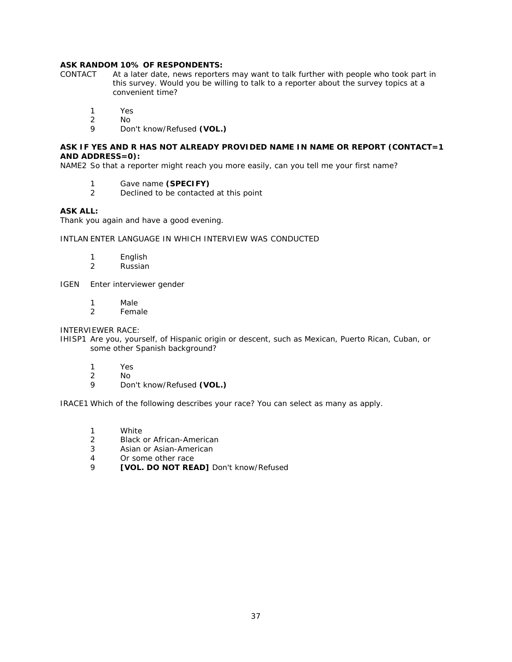# **ASK RANDOM 10% OF RESPONDENTS:**<br>CONTACT At a later date, news reporter

- At a later date, news reporters may want to talk further with people who took part in this survey. Would you be willing to talk to a reporter about the survey topics at a convenient time?
	- 1 Yes
	- 2 No<br>9 Do
	- 9 Don't know/Refused **(VOL.)**

## **ASK IF YES AND R HAS NOT ALREADY PROVIDED NAME IN NAME OR REPORT (CONTACT=1 AND ADDRESS=0):**

NAME2 So that a reporter might reach you more easily, can you tell me your first name?

- 1 Gave name **(SPECIFY)**
- Declined to be contacted at this point

## **ASK ALL:**

Thank you again and have a good evening.

#### INTLAN ENTER LANGUAGE IN WHICH INTERVIEW WAS CONDUCTED

- 1 English<br>2 Russian
- **Russian**
- IGEN Enter interviewer gender
	- 1 Male
	- 2 Female

## INTERVIEWER RACE:

- IHISP1 Are you, yourself, of Hispanic origin or descent, such as Mexican, Puerto Rican, Cuban, or some other Spanish background?
	- 1 Yes
	- 2 No
	- 9 Don't know/Refused **(VOL.)**

IRACE1 Which of the following describes your race? You can select as many as apply.

- 1 White
- 2 Black or African-American
- 3 Asian or Asian-American
- 4 Or some other race
- 9 **[VOL. DO NOT READ]** Don't know/Refused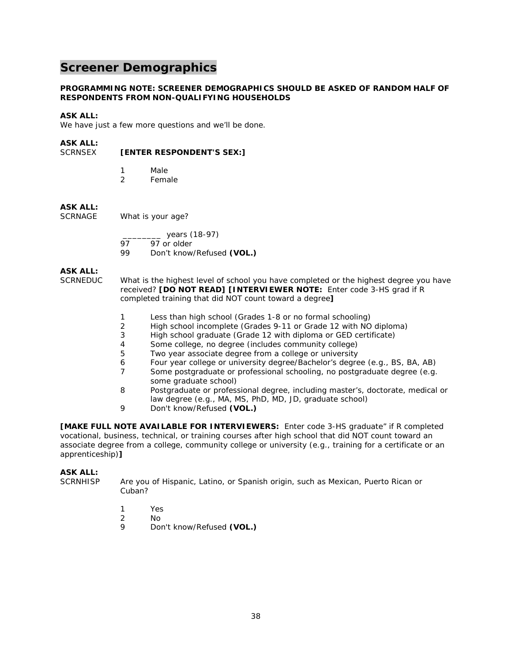## **Screener Demographics**

### **PROGRAMMING NOTE: SCREENER DEMOGRAPHICS SHOULD BE ASKED OF RANDOM HALF OF RESPONDENTS FROM NON-QUALIFYING HOUSEHOLDS**

## **ASK ALL:**

We have just a few more questions and we'll be done.

## **ASK ALL:**

## SCRNSEX **[ENTER RESPONDENT'S SEX:]**

- 1 Male<br>2 Fema **Female**
- 

## **ASK ALL:**

SCRNAGE What is your age?

\_\_\_\_\_\_\_\_ years (18-97)

97 97 or older<br>99 Don't know

Don't know/Refused (VOL.)

## **ASK ALL:**

SCRNEDUC What is the highest level of school you have completed or the highest degree you have received? **[DO NOT READ] [INTERVIEWER NOTE:** Enter code 3-HS grad if R completed training that did NOT count toward a degree**]**

- 1 Less than high school (Grades 1-8 or no formal schooling)
- 2 High school incomplete (Grades 9-11 or Grade 12 with NO diploma)<br>3 High school graduate (Grade 12 with diploma or GED certificate)
- High school graduate (Grade 12 with diploma or GED certificate)
- 4 Some college, no degree (includes community college)<br>5 Two vear associate degree from a college or university
- Two year associate degree from a college or university
- 6 Four year college or university degree/Bachelor's degree (e.g., BS, BA, AB)
- 7 Some postgraduate or professional schooling, no postgraduate degree (e.g. some graduate school)
- 8 Postgraduate or professional degree, including master's, doctorate, medical or law degree (e.g., MA, MS, PhD, MD, JD, graduate school)
- 9 Don't know/Refused **(VOL.)**

**[MAKE FULL NOTE AVAILABLE FOR INTERVIEWERS:** Enter code 3-HS graduate" if R completed vocational, business, technical, or training courses after high school that did NOT count toward an associate degree from a college, community college or university (e.g., training for a certificate or an apprenticeship)**]**

## **ASK ALL:**

SCRNHISP Are you of Hispanic, Latino, or Spanish origin, such as Mexican, Puerto Rican or Cuban?

- 1 Yes
- 2 No
- 9 Don't know/Refused **(VOL.)**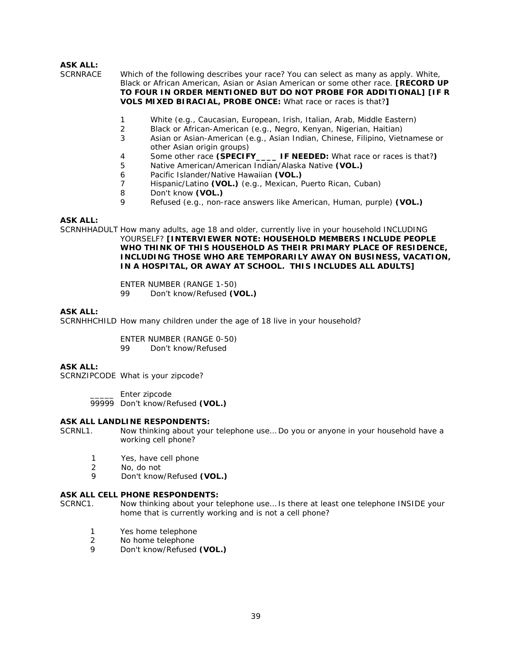SCRNRACE Which of the following describes your race? You can select as many as apply. White, Black or African American, Asian or Asian American or some other race. **[RECORD UP TO FOUR IN ORDER MENTIONED BUT DO NOT PROBE FOR ADDITIONAL] [IF R VOLS MIXED BIRACIAL, PROBE ONCE:** What race or races is that?**]**

- 1 White (e.g., Caucasian, European, Irish, Italian, Arab, Middle Eastern)<br>2 Black or African-American (e.g., Negro, Kenyan, Nigerian, Haitian)
- Black or African-American (e.g., Negro, Kenyan, Nigerian, Haitian)
- 3 Asian or Asian-American (e.g., Asian Indian, Chinese, Filipino, Vietnamese or other Asian origin groups)
- 4 Some other race **(SPECIFY\_\_\_\_ IF NEEDED:** What race or races is that?**)**
- 5 Native American/American Indian/Alaska Native **(VOL.)**
- 6 Pacific Islander/Native Hawaiian **(VOL.)**
- 7 Hispanic/Latino **(VOL.)** (e.g., Mexican, Puerto Rican, Cuban)
- 8 Don't know **(VOL.)**
- 9 Refused (e.g., non-race answers like American, Human, purple) **(VOL.)**

## **ASK ALL:**

SCRNHHADULT How many adults, age 18 and older, currently live in your household INCLUDING YOURSELF? **[INTERVIEWER NOTE: HOUSEHOLD MEMBERS INCLUDE PEOPLE WHO THINK OF THIS HOUSEHOLD AS THEIR PRIMARY PLACE OF RESIDENCE, INCLUDING THOSE WHO ARE TEMPORARILY AWAY ON BUSINESS, VACATION, IN A HOSPITAL, OR AWAY AT SCHOOL. THIS INCLUDES ALL ADULTS]** 

> ENTER NUMBER (RANGE 1-50) 99 Don't know/Refused **(VOL.)**

#### **ASK ALL:**

SCRNHHCHILD How many children under the age of 18 live in your household?

ENTER NUMBER (RANGE 0-50)

99 Don't know/Refused

#### **ASK ALL:**

SCRNZIPCODE What is your zipcode?

\_\_\_\_\_ Enter zipcode 99999 Don't know/Refused **(VOL.)**

#### **ASK ALL LANDLINE RESPONDENTS:**

SCRNL1. Now thinking about your telephone use… Do you or anyone in your household have a working cell phone?

- 1 Yes, have cell phone
- 2 No, do not
- 9 Don't know/Refused **(VOL.)**

#### **ASK ALL CELL PHONE RESPONDENTS:**

- SCRNC1. Now thinking about your telephone use… Is there at least one telephone INSIDE your home that is currently working and is not a cell phone?
	- 1 Yes home telephone
	- 2 No home telephone
	- 9 Don't know/Refused **(VOL.)**